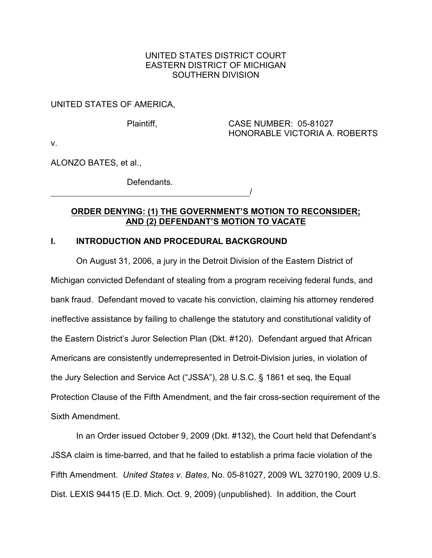## UNITED STATES DISTRICT COURT EASTERN DISTRICT OF MICHIGAN SOUTHERN DIVISION

## UNITED STATES OF AMERICA,

## Plaintiff, CASE NUMBER: 05-81027 HONORABLE VICTORIA A. ROBERTS

v.

ALONZO BATES, et al.,

Defendants. /

## **ORDER DENYING: (1) THE GOVERNMENT'S MOTION TO RECONSIDER; AND (2) DEFENDANT'S MOTION TO VACATE**

## **I. INTRODUCTION AND PROCEDURAL BACKGROUND**

On August 31, 2006, a jury in the Detroit Division of the Eastern District of Michigan convicted Defendant of stealing from a program receiving federal funds, and bank fraud. Defendant moved to vacate his conviction, claiming his attorney rendered ineffective assistance by failing to challenge the statutory and constitutional validity of the Eastern District's Juror Selection Plan (Dkt. #120). Defendant argued that African Americans are consistently underrepresented in Detroit-Division juries, in violation of the Jury Selection and Service Act ("JSSA"), 28 U.S.C. § 1861 et seq, the Equal Protection Clause of the Fifth Amendment, and the fair cross-section requirement of the Sixth Amendment.

In an Order issued October 9, 2009 (Dkt. #132), the Court held that Defendant's JSSA claim is time-barred, and that he failed to establish a prima facie violation of the Fifth Amendment. *United States v. Bates*, No. 05-81027, 2009 WL 3270190, 2009 U.S. Dist. LEXIS 94415 (E.D. Mich. Oct. 9, 2009) (unpublished). In addition, the Court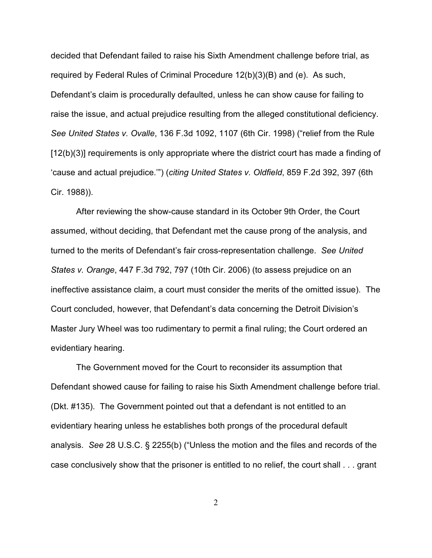decided that Defendant failed to raise his Sixth Amendment challenge before trial, as required by Federal Rules of Criminal Procedure 12(b)(3)(B) and (e). As such, Defendant's claim is procedurally defaulted, unless he can show cause for failing to raise the issue, and actual prejudice resulting from the alleged constitutional deficiency. *See United States v. Ovalle*, 136 F.3d 1092, 1107 (6th Cir. 1998) ("relief from the Rule [12(b)(3)] requirements is only appropriate where the district court has made a finding of 'cause and actual prejudice.'") (*citing United States v. Oldfield*, 859 F.2d 392, 397 (6th Cir. 1988)).

After reviewing the show-cause standard in its October 9th Order, the Court assumed, without deciding, that Defendant met the cause prong of the analysis, and turned to the merits of Defendant's fair cross-representation challenge. *See United States v. Orange*, 447 F.3d 792, 797 (10th Cir. 2006) (to assess prejudice on an ineffective assistance claim, a court must consider the merits of the omitted issue). The Court concluded, however, that Defendant's data concerning the Detroit Division's Master Jury Wheel was too rudimentary to permit a final ruling; the Court ordered an evidentiary hearing.

The Government moved for the Court to reconsider its assumption that Defendant showed cause for failing to raise his Sixth Amendment challenge before trial. (Dkt. #135). The Government pointed out that a defendant is not entitled to an evidentiary hearing unless he establishes both prongs of the procedural default analysis. *See* 28 U.S.C. § 2255(b) ("Unless the motion and the files and records of the case conclusively show that the prisoner is entitled to no relief, the court shall . . . grant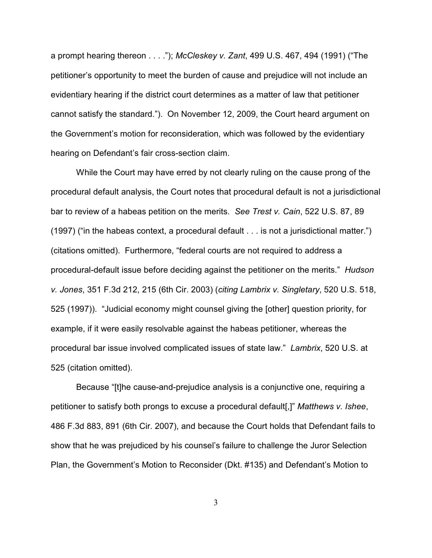a prompt hearing thereon . . . ."); *McCleskey v. Zant*, 499 U.S. 467, 494 (1991) ("The petitioner's opportunity to meet the burden of cause and prejudice will not include an evidentiary hearing if the district court determines as a matter of law that petitioner cannot satisfy the standard."). On November 12, 2009, the Court heard argument on the Government's motion for reconsideration, which was followed by the evidentiary hearing on Defendant's fair cross-section claim.

While the Court may have erred by not clearly ruling on the cause prong of the procedural default analysis, the Court notes that procedural default is not a jurisdictional bar to review of a habeas petition on the merits. *See Trest v. Cain*, 522 U.S. 87, 89 (1997) ("in the habeas context, a procedural default . . . is not a jurisdictional matter.") (citations omitted). Furthermore, "federal courts are not required to address a procedural-default issue before deciding against the petitioner on the merits." *Hudson v. Jones*, 351 F.3d 212, 215 (6th Cir. 2003) (*citing Lambrix v. Singletary*, 520 U.S. 518, 525 (1997)). "Judicial economy might counsel giving the [other] question priority, for example, if it were easily resolvable against the habeas petitioner, whereas the procedural bar issue involved complicated issues of state law." *Lambrix*, 520 U.S. at 525 (citation omitted).

Because "[t]he cause-and-prejudice analysis is a conjunctive one, requiring a petitioner to satisfy both prongs to excuse a procedural default[,]" *Matthews v. Ishee*, 486 F.3d 883, 891 (6th Cir. 2007), and because the Court holds that Defendant fails to show that he was prejudiced by his counsel's failure to challenge the Juror Selection Plan, the Government's Motion to Reconsider (Dkt. #135) and Defendant's Motion to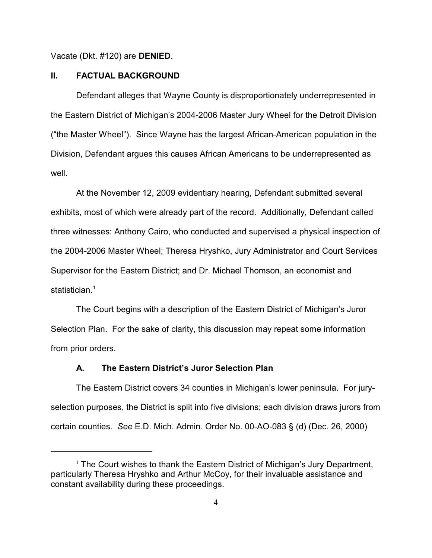Vacate (Dkt. #120) are **DENIED**.

#### **II. FACTUAL BACKGROUND**

Defendant alleges that Wayne County is disproportionately underrepresented in the Eastern District of Michigan's 2004-2006 Master Jury Wheel for the Detroit Division ("the Master Wheel"). Since Wayne has the largest African-American population in the Division, Defendant argues this causes African Americans to be underrepresented as well.

At the November 12, 2009 evidentiary hearing, Defendant submitted several exhibits, most of which were already part of the record. Additionally, Defendant called three witnesses: Anthony Cairo, who conducted and supervised a physical inspection of the 2004-2006 Master Wheel; Theresa Hryshko, Jury Administrator and Court Services Supervisor for the Eastern District; and Dr. Michael Thomson, an economist and statistician. 1

The Court begins with a description of the Eastern District of Michigan's Juror Selection Plan. For the sake of clarity, this discussion may repeat some information from prior orders.

## **A. The Eastern District's Juror Selection Plan**

The Eastern District covers 34 counties in Michigan's lower peninsula. For juryselection purposes, the District is split into five divisions; each division draws jurors from certain counties. *See* E.D. Mich. Admin. Order No. 00-AO-083 § (d) (Dec. 26, 2000)

 $1$  The Court wishes to thank the Eastern District of Michigan's Jury Department, particularly Theresa Hryshko and Arthur McCoy, for their invaluable assistance and constant availability during these proceedings.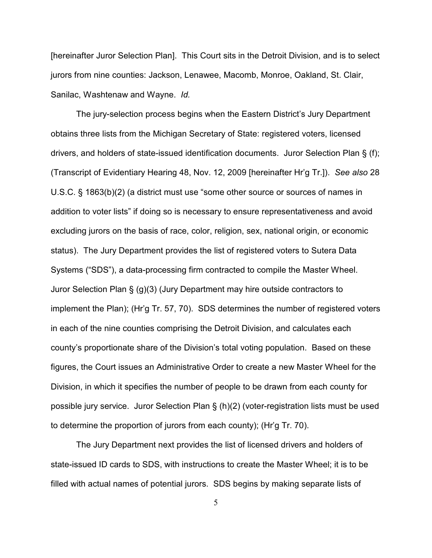[hereinafter Juror Selection Plan]. This Court sits in the Detroit Division, and is to select jurors from nine counties: Jackson, Lenawee, Macomb, Monroe, Oakland, St. Clair, Sanilac, Washtenaw and Wayne. *Id.*

The jury-selection process begins when the Eastern District's Jury Department obtains three lists from the Michigan Secretary of State: registered voters, licensed drivers, and holders of state-issued identification documents. Juror Selection Plan § (f); (Transcript of Evidentiary Hearing 48, Nov. 12, 2009 [hereinafter Hr'g Tr.]). *See also* 28 U.S.C. § 1863(b)(2) (a district must use "some other source or sources of names in addition to voter lists" if doing so is necessary to ensure representativeness and avoid excluding jurors on the basis of race, color, religion, sex, national origin, or economic status). The Jury Department provides the list of registered voters to Sutera Data Systems ("SDS"), a data-processing firm contracted to compile the Master Wheel. Juror Selection Plan § (g)(3) (Jury Department may hire outside contractors to implement the Plan); (Hr'g Tr. 57, 70). SDS determines the number of registered voters in each of the nine counties comprising the Detroit Division, and calculates each county's proportionate share of the Division's total voting population. Based on these figures, the Court issues an Administrative Order to create a new Master Wheel for the Division, in which it specifies the number of people to be drawn from each county for possible jury service. Juror Selection Plan § (h)(2) (voter-registration lists must be used to determine the proportion of jurors from each county); (Hr'g Tr. 70).

The Jury Department next provides the list of licensed drivers and holders of state-issued ID cards to SDS, with instructions to create the Master Wheel; it is to be filled with actual names of potential jurors. SDS begins by making separate lists of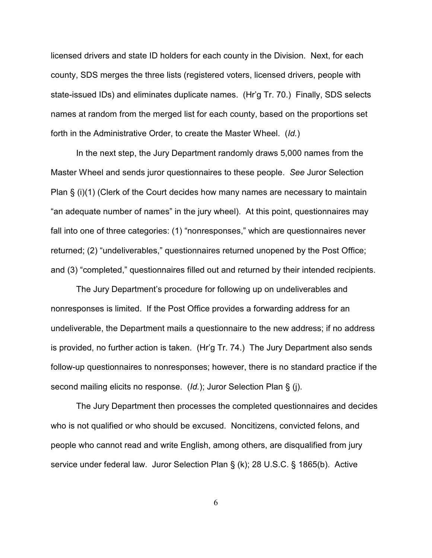licensed drivers and state ID holders for each county in the Division. Next, for each county, SDS merges the three lists (registered voters, licensed drivers, people with state-issued IDs) and eliminates duplicate names. (Hr'g Tr. 70.) Finally, SDS selects names at random from the merged list for each county, based on the proportions set forth in the Administrative Order, to create the Master Wheel. (*Id.*)

In the next step, the Jury Department randomly draws 5,000 names from the Master Wheel and sends juror questionnaires to these people. *See* Juror Selection Plan § (i)(1) (Clerk of the Court decides how many names are necessary to maintain "an adequate number of names" in the jury wheel). At this point, questionnaires may fall into one of three categories: (1) "nonresponses," which are questionnaires never returned; (2) "undeliverables," questionnaires returned unopened by the Post Office; and (3) "completed," questionnaires filled out and returned by their intended recipients.

The Jury Department's procedure for following up on undeliverables and nonresponses is limited. If the Post Office provides a forwarding address for an undeliverable, the Department mails a questionnaire to the new address; if no address is provided, no further action is taken. (Hr'g Tr. 74.) The Jury Department also sends follow-up questionnaires to nonresponses; however, there is no standard practice if the second mailing elicits no response. (*Id.*); Juror Selection Plan § (j).

The Jury Department then processes the completed questionnaires and decides who is not qualified or who should be excused. Noncitizens, convicted felons, and people who cannot read and write English, among others, are disqualified from jury service under federal law. Juror Selection Plan § (k); 28 U.S.C. § 1865(b). Active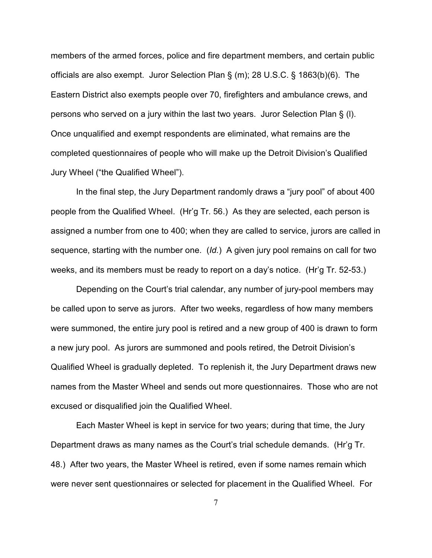members of the armed forces, police and fire department members, and certain public officials are also exempt. Juror Selection Plan § (m); 28 U.S.C. § 1863(b)(6). The Eastern District also exempts people over 70, firefighters and ambulance crews, and persons who served on a jury within the last two years. Juror Selection Plan § (l). Once unqualified and exempt respondents are eliminated, what remains are the completed questionnaires of people who will make up the Detroit Division's Qualified Jury Wheel ("the Qualified Wheel").

In the final step, the Jury Department randomly draws a "jury pool" of about 400 people from the Qualified Wheel. (Hr'g Tr. 56.) As they are selected, each person is assigned a number from one to 400; when they are called to service, jurors are called in sequence, starting with the number one. (*Id.*) A given jury pool remains on call for two weeks, and its members must be ready to report on a day's notice. (Hr'g Tr. 52-53.)

Depending on the Court's trial calendar, any number of jury-pool members may be called upon to serve as jurors. After two weeks, regardless of how many members were summoned, the entire jury pool is retired and a new group of 400 is drawn to form a new jury pool. As jurors are summoned and pools retired, the Detroit Division's Qualified Wheel is gradually depleted. To replenish it, the Jury Department draws new names from the Master Wheel and sends out more questionnaires. Those who are not excused or disqualified join the Qualified Wheel.

Each Master Wheel is kept in service for two years; during that time, the Jury Department draws as many names as the Court's trial schedule demands. (Hr'g Tr. 48.) After two years, the Master Wheel is retired, even if some names remain which were never sent questionnaires or selected for placement in the Qualified Wheel. For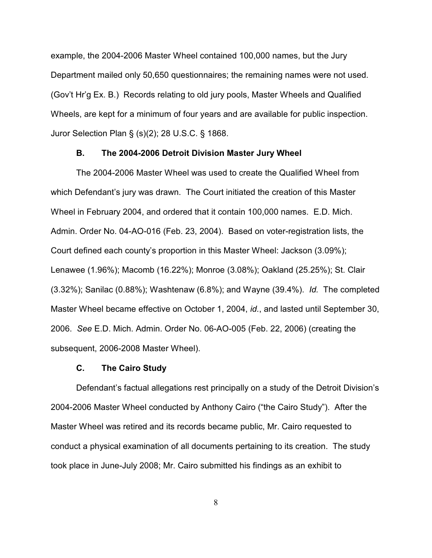example, the 2004-2006 Master Wheel contained 100,000 names, but the Jury Department mailed only 50,650 questionnaires; the remaining names were not used. (Gov't Hr'g Ex. B.) Records relating to old jury pools, Master Wheels and Qualified Wheels, are kept for a minimum of four years and are available for public inspection. Juror Selection Plan § (s)(2); 28 U.S.C. § 1868.

#### **B. The 2004-2006 Detroit Division Master Jury Wheel**

The 2004-2006 Master Wheel was used to create the Qualified Wheel from which Defendant's jury was drawn. The Court initiated the creation of this Master Wheel in February 2004, and ordered that it contain 100,000 names. E.D. Mich. Admin. Order No. 04-AO-016 (Feb. 23, 2004). Based on voter-registration lists, the Court defined each county's proportion in this Master Wheel: Jackson (3.09%); Lenawee (1.96%); Macomb (16.22%); Monroe (3.08%); Oakland (25.25%); St. Clair (3.32%); Sanilac (0.88%); Washtenaw (6.8%); and Wayne (39.4%). *Id.* The completed Master Wheel became effective on October 1, 2004, *id.*, and lasted until September 30, 2006. *See* E.D. Mich. Admin. Order No. 06-AO-005 (Feb. 22, 2006) (creating the subsequent, 2006-2008 Master Wheel).

## **C. The Cairo Study**

Defendant's factual allegations rest principally on a study of the Detroit Division's 2004-2006 Master Wheel conducted by Anthony Cairo ("the Cairo Study"). After the Master Wheel was retired and its records became public, Mr. Cairo requested to conduct a physical examination of all documents pertaining to its creation. The study took place in June-July 2008; Mr. Cairo submitted his findings as an exhibit to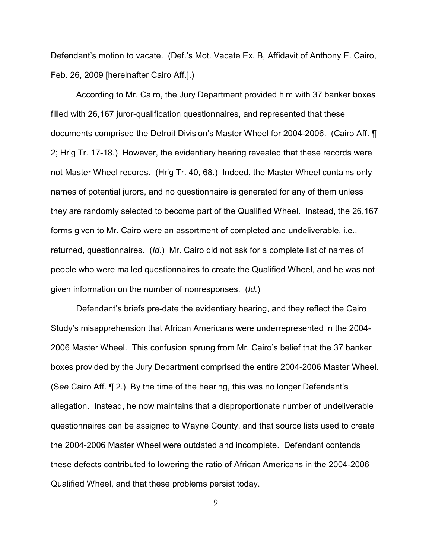Defendant's motion to vacate. (Def.'s Mot. Vacate Ex. B, Affidavit of Anthony E. Cairo, Feb. 26, 2009 [hereinafter Cairo Aff.].)

According to Mr. Cairo, the Jury Department provided him with 37 banker boxes filled with 26,167 juror-qualification questionnaires, and represented that these documents comprised the Detroit Division's Master Wheel for 2004-2006. (Cairo Aff. ¶ 2; Hr'g Tr. 17-18.) However, the evidentiary hearing revealed that these records were not Master Wheel records. (Hr'g Tr. 40, 68.) Indeed, the Master Wheel contains only names of potential jurors, and no questionnaire is generated for any of them unless they are randomly selected to become part of the Qualified Wheel. Instead, the 26,167 forms given to Mr. Cairo were an assortment of completed and undeliverable, i.e., returned, questionnaires. (*Id.*) Mr. Cairo did not ask for a complete list of names of people who were mailed questionnaires to create the Qualified Wheel, and he was not given information on the number of nonresponses. (*Id.*)

Defendant's briefs pre-date the evidentiary hearing, and they reflect the Cairo Study's misapprehension that African Americans were underrepresented in the 2004- 2006 Master Wheel. This confusion sprung from Mr. Cairo's belief that the 37 banker boxes provided by the Jury Department comprised the entire 2004-2006 Master Wheel. (S*ee* Cairo Aff. ¶ 2.) By the time of the hearing, this was no longer Defendant's allegation. Instead, he now maintains that a disproportionate number of undeliverable questionnaires can be assigned to Wayne County, and that source lists used to create the 2004-2006 Master Wheel were outdated and incomplete. Defendant contends these defects contributed to lowering the ratio of African Americans in the 2004-2006 Qualified Wheel, and that these problems persist today.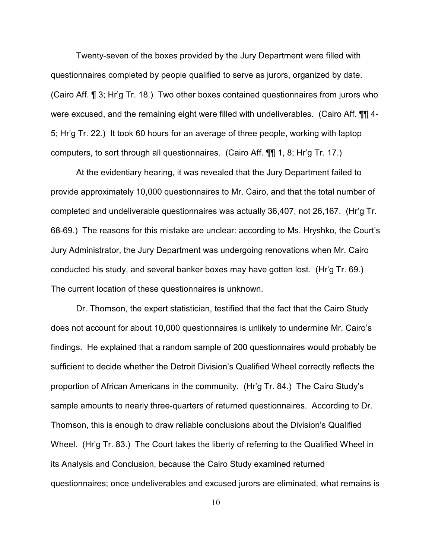Twenty-seven of the boxes provided by the Jury Department were filled with questionnaires completed by people qualified to serve as jurors, organized by date. (Cairo Aff. ¶ 3; Hr'g Tr. 18.) Two other boxes contained questionnaires from jurors who were excused, and the remaining eight were filled with undeliverables. (Cairo Aff. **[11]** 4-5; Hr'g Tr. 22.) It took 60 hours for an average of three people, working with laptop computers, to sort through all questionnaires. (Cairo Aff. ¶¶ 1, 8; Hr'g Tr. 17.)

At the evidentiary hearing, it was revealed that the Jury Department failed to provide approximately 10,000 questionnaires to Mr. Cairo, and that the total number of completed and undeliverable questionnaires was actually 36,407, not 26,167. (Hr'g Tr. 68-69.) The reasons for this mistake are unclear: according to Ms. Hryshko, the Court's Jury Administrator, the Jury Department was undergoing renovations when Mr. Cairo conducted his study, and several banker boxes may have gotten lost. (Hr'g Tr. 69.) The current location of these questionnaires is unknown.

Dr. Thomson, the expert statistician, testified that the fact that the Cairo Study does not account for about 10,000 questionnaires is unlikely to undermine Mr. Cairo's findings. He explained that a random sample of 200 questionnaires would probably be sufficient to decide whether the Detroit Division's Qualified Wheel correctly reflects the proportion of African Americans in the community. (Hr'g Tr. 84.) The Cairo Study's sample amounts to nearly three-quarters of returned questionnaires. According to Dr. Thomson, this is enough to draw reliable conclusions about the Division's Qualified Wheel. (Hr'g Tr. 83.) The Court takes the liberty of referring to the Qualified Wheel in its Analysis and Conclusion, because the Cairo Study examined returned questionnaires; once undeliverables and excused jurors are eliminated, what remains is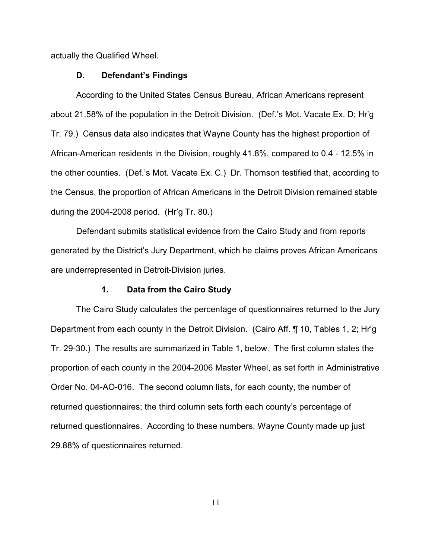actually the Qualified Wheel.

#### **D. Defendant's Findings**

According to the United States Census Bureau, African Americans represent about 21.58% of the population in the Detroit Division. (Def.'s Mot. Vacate Ex. D; Hr'g Tr. 79.) Census data also indicates that Wayne County has the highest proportion of African-American residents in the Division, roughly 41.8%, compared to 0.4 - 12.5% in the other counties. (Def.'s Mot. Vacate Ex. C.) Dr. Thomson testified that, according to the Census, the proportion of African Americans in the Detroit Division remained stable during the 2004-2008 period. (Hr'g Tr. 80.)

Defendant submits statistical evidence from the Cairo Study and from reports generated by the District's Jury Department, which he claims proves African Americans are underrepresented in Detroit-Division juries.

## **1. Data from the Cairo Study**

The Cairo Study calculates the percentage of questionnaires returned to the Jury Department from each county in the Detroit Division. (Cairo Aff. ¶ 10, Tables 1, 2; Hr'g Tr. 29-30.) The results are summarized in Table 1, below. The first column states the proportion of each county in the 2004-2006 Master Wheel, as set forth in Administrative Order No. 04-AO-016. The second column lists, for each county, the number of returned questionnaires; the third column sets forth each county's percentage of returned questionnaires. According to these numbers, Wayne County made up just 29.88% of questionnaires returned.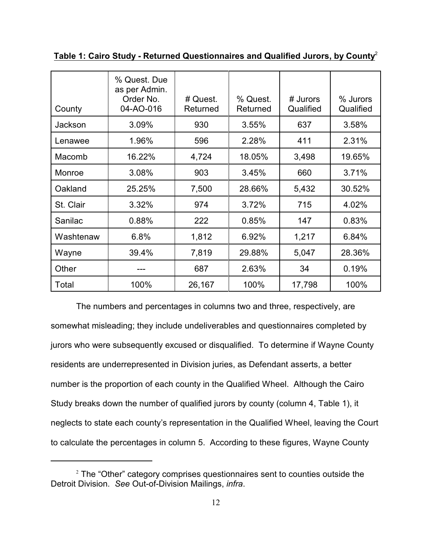| County    | % Quest. Due<br>as per Admin.<br>Order No.<br>04-AO-016 | # Quest.<br>Returned | % Quest.<br>Returned | # Jurors<br>Qualified | % Jurors<br>Qualified |
|-----------|---------------------------------------------------------|----------------------|----------------------|-----------------------|-----------------------|
| Jackson   | 3.09%                                                   | 930                  | 3.55%                | 637                   | 3.58%                 |
| Lenawee   | 1.96%                                                   | 596                  | 2.28%                | 411                   | 2.31%                 |
| Macomb    | 16.22%                                                  | 4,724                | 18.05%               | 3,498                 | 19.65%                |
| Monroe    | 3.08%                                                   | 903                  | 3.45%                | 660                   | 3.71%                 |
| Oakland   | 25.25%                                                  | 7,500                | 28.66%               | 5,432                 | 30.52%                |
| St. Clair | 3.32%                                                   | 974                  | 3.72%                | 715                   | 4.02%                 |
| Sanilac   | 0.88%                                                   | 222                  | 0.85%                | 147                   | 0.83%                 |
| Washtenaw | 6.8%                                                    | 1,812                | 6.92%                | 1,217                 | 6.84%                 |
| Wayne     | 39.4%                                                   | 7,819                | 29.88%               | 5,047                 | 28.36%                |
| Other     |                                                         | 687                  | 2.63%                | 34                    | 0.19%                 |
| Total     | 100%                                                    | 26,167               | 100%                 | 17,798                | 100%                  |

**Table 1: Cairo Study - Returned Questionnaires and Qualified Jurors, by County**<sup>2</sup>

The numbers and percentages in columns two and three, respectively, are somewhat misleading; they include undeliverables and questionnaires completed by jurors who were subsequently excused or disqualified. To determine if Wayne County residents are underrepresented in Division juries, as Defendant asserts, a better number is the proportion of each county in the Qualified Wheel. Although the Cairo Study breaks down the number of qualified jurors by county (column 4, Table 1), it neglects to state each county's representation in the Qualified Wheel, leaving the Court to calculate the percentages in column 5. According to these figures, Wayne County

 $2$  The "Other" category comprises questionnaires sent to counties outside the Detroit Division. *See* Out-of-Division Mailings, *infra*.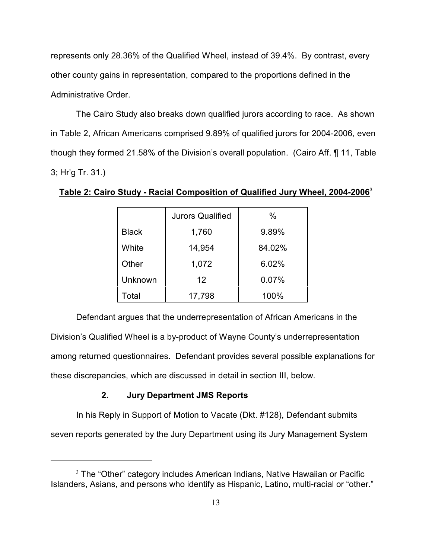represents only 28.36% of the Qualified Wheel, instead of 39.4%. By contrast, every other county gains in representation, compared to the proportions defined in the Administrative Order.

The Cairo Study also breaks down qualified jurors according to race. As shown in Table 2, African Americans comprised 9.89% of qualified jurors for 2004-2006, even though they formed 21.58% of the Division's overall population. (Cairo Aff. ¶ 11, Table 3; Hr'g Tr. 31.)

|              | <b>Jurors Qualified</b> | $\%$   |
|--------------|-------------------------|--------|
| <b>Black</b> | 1,760                   | 9.89%  |
| White        | 14,954                  | 84.02% |
| Other        | 1,072                   | 6.02%  |
| Unknown      | $12 \overline{ }$       | 0.07%  |
| Total        | 17,798                  | 100%   |

**Table 2: Cairo Study - Racial Composition of Qualified Jury Wheel, 2004-2006**<sup>3</sup>

Defendant argues that the underrepresentation of African Americans in the Division's Qualified Wheel is a by-product of Wayne County's underrepresentation among returned questionnaires. Defendant provides several possible explanations for these discrepancies, which are discussed in detail in section III, below.

## **2. Jury Department JMS Reports**

In his Reply in Support of Motion to Vacate (Dkt. #128), Defendant submits seven reports generated by the Jury Department using its Jury Management System

 $3$  The "Other" category includes American Indians, Native Hawaiian or Pacific Islanders, Asians, and persons who identify as Hispanic, Latino, multi-racial or "other."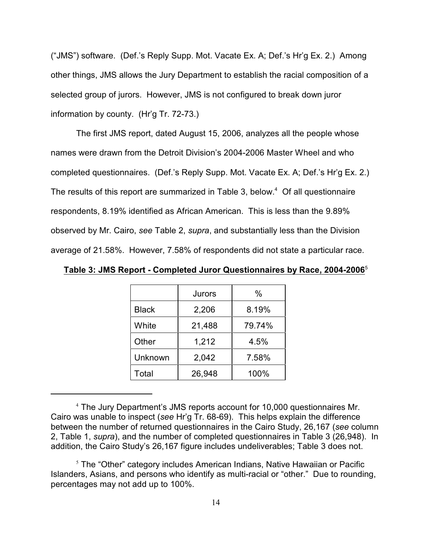("JMS") software. (Def.'s Reply Supp. Mot. Vacate Ex. A; Def.'s Hr'g Ex. 2.) Among other things, JMS allows the Jury Department to establish the racial composition of a selected group of jurors. However, JMS is not configured to break down juror information by county. (Hr'g Tr. 72-73.)

The first JMS report, dated August 15, 2006, analyzes all the people whose names were drawn from the Detroit Division's 2004-2006 Master Wheel and who completed questionnaires. (Def.'s Reply Supp. Mot. Vacate Ex. A; Def.'s Hr'g Ex. 2.) The results of this report are summarized in Table 3, below.<sup>4</sup> Of all questionnaire respondents, 8.19% identified as African American. This is less than the 9.89% observed by Mr. Cairo, *see* Table 2, *supra*, and substantially less than the Division average of 21.58%. However, 7.58% of respondents did not state a particular race.

|              | Jurors | $\%$   |
|--------------|--------|--------|
| <b>Black</b> | 2,206  | 8.19%  |
| White        | 21,488 | 79.74% |
| Other        | 1,212  | 4.5%   |
| Unknown      | 2,042  | 7.58%  |
| Total        | 26,948 | 100%   |

**Table 3: JMS Report - Completed Juror Questionnaires by Race, 2004-2006**<sup>5</sup>

<sup>&</sup>lt;sup>4</sup> The Jury Department's JMS reports account for 10,000 questionnaires Mr. Cairo was unable to inspect (*see* Hr'g Tr. 68-69). This helps explain the difference between the number of returned questionnaires in the Cairo Study, 26,167 (*see* column 2, Table 1, *supra*), and the number of completed questionnaires in Table 3 (26,948). In addition, the Cairo Study's 26,167 figure includes undeliverables; Table 3 does not.

 $5$  The "Other" category includes American Indians, Native Hawaiian or Pacific Islanders, Asians, and persons who identify as multi-racial or "other." Due to rounding, percentages may not add up to 100%.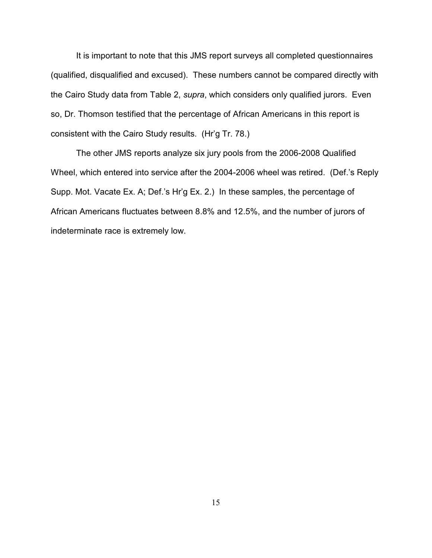It is important to note that this JMS report surveys all completed questionnaires (qualified, disqualified and excused). These numbers cannot be compared directly with the Cairo Study data from Table 2, *supra*, which considers only qualified jurors. Even so, Dr. Thomson testified that the percentage of African Americans in this report is consistent with the Cairo Study results. (Hr'g Tr. 78.)

The other JMS reports analyze six jury pools from the 2006-2008 Qualified Wheel, which entered into service after the 2004-2006 wheel was retired. (Def.'s Reply Supp. Mot. Vacate Ex. A; Def.'s Hr'g Ex. 2.) In these samples, the percentage of African Americans fluctuates between 8.8% and 12.5%, and the number of jurors of indeterminate race is extremely low.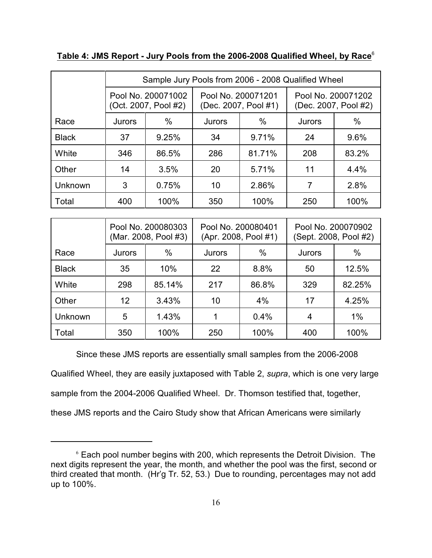|              | Sample Jury Pools from 2006 - 2008 Qualified Wheel |                |                                            |        |                                            |       |  |  |
|--------------|----------------------------------------------------|----------------|--------------------------------------------|--------|--------------------------------------------|-------|--|--|
|              | Pool No. 200071002<br>(Oct. 2007, Pool #2)         |                | Pool No. 200071201<br>(Dec. 2007, Pool #1) |        | Pool No. 200071202<br>(Dec. 2007, Pool #2) |       |  |  |
| Race         | <b>Jurors</b>                                      | $\%$<br>Jurors |                                            | $\%$   | Jurors                                     | $\%$  |  |  |
| <b>Black</b> | 37                                                 | 9.25%          | 34                                         | 9.71%  | 24                                         | 9.6%  |  |  |
| White        | 346                                                | 86.5%          | 286                                        | 81.71% | 208                                        | 83.2% |  |  |
| Other        | 14                                                 | 3.5%           | 20                                         | 5.71%  | 11                                         | 4.4%  |  |  |
| Unknown      | 3<br>0.75%                                         |                | 10                                         | 2.86%  | 7                                          | 2.8%  |  |  |
| Total        | 400                                                | 100%           | 350                                        | 100%   | 250                                        | 100%  |  |  |

## **Table 4: JMS Report - Jury Pools from the 2006-2008 Qualified Wheel, by Race**<sup>6</sup>

|                | Pool No. 200080303<br>(Mar. 2008, Pool #3) |        | Pool No. 200080401<br>(Apr. 2008, Pool #1) |       | Pool No. 200070902<br>(Sept. 2008, Pool #2) |        |  |
|----------------|--------------------------------------------|--------|--------------------------------------------|-------|---------------------------------------------|--------|--|
| Race           | Jurors                                     | $\%$   | Jurors                                     | $\%$  | Jurors                                      | $\%$   |  |
| <b>Black</b>   | 35                                         | 10%    | 22                                         | 8.8%  | 50                                          | 12.5%  |  |
| White          | 298                                        | 85.14% | 217                                        | 86.8% | 329                                         | 82.25% |  |
| Other          | 12                                         | 3.43%  | 10                                         | 4%    | 17                                          | 4.25%  |  |
| <b>Unknown</b> | 5                                          | 1.43%  |                                            | 0.4%  | 4                                           | 1%     |  |
| Total          | 350                                        | 100%   | 250                                        | 100%  | 400                                         | 100%   |  |

Since these JMS reports are essentially small samples from the 2006-2008 Qualified Wheel, they are easily juxtaposed with Table 2, *supra*, which is one very large sample from the 2004-2006 Qualified Wheel. Dr. Thomson testified that, together, these JMS reports and the Cairo Study show that African Americans were similarly

 $6$  Each pool number begins with 200, which represents the Detroit Division. The next digits represent the year, the month, and whether the pool was the first, second or third created that month. (Hr'g Tr. 52, 53.) Due to rounding, percentages may not add up to 100%.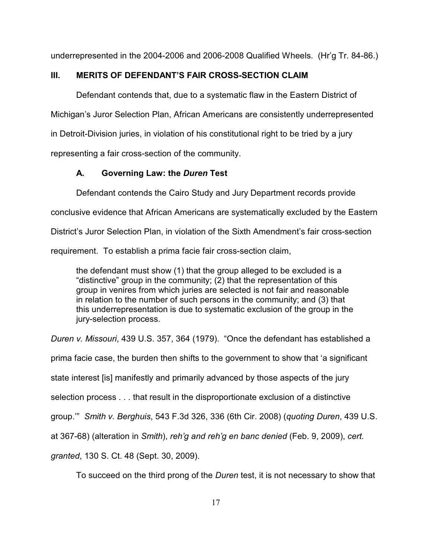underrepresented in the 2004-2006 and 2006-2008 Qualified Wheels. (Hr'g Tr. 84-86.)

## **III. MERITS OF DEFENDANT'S FAIR CROSS-SECTION CLAIM**

Defendant contends that, due to a systematic flaw in the Eastern District of Michigan's Juror Selection Plan, African Americans are consistently underrepresented in Detroit-Division juries, in violation of his constitutional right to be tried by a jury representing a fair cross-section of the community.

## **A. Governing Law: the** *Duren* **Test**

Defendant contends the Cairo Study and Jury Department records provide conclusive evidence that African Americans are systematically excluded by the Eastern District's Juror Selection Plan, in violation of the Sixth Amendment's fair cross-section requirement. To establish a prima facie fair cross-section claim,

the defendant must show (1) that the group alleged to be excluded is a "distinctive" group in the community; (2) that the representation of this group in venires from which juries are selected is not fair and reasonable in relation to the number of such persons in the community; and (3) that this underrepresentation is due to systematic exclusion of the group in the jury-selection process.

*Duren v. Missouri*, 439 U.S. 357, 364 (1979). "Once the defendant has established a

prima facie case, the burden then shifts to the government to show that 'a significant

state interest [is] manifestly and primarily advanced by those aspects of the jury

selection process . . . that result in the disproportionate exclusion of a distinctive

group.'" *Smith v. Berghuis*, 543 F.3d 326, 336 (6th Cir. 2008) (*quoting Duren*, 439 U.S.

at 367-68) (alteration in *Smith*), *reh'g and reh'g en banc denied* (Feb. 9, 2009), *cert.*

*granted*, 130 S. Ct. 48 (Sept. 30, 2009).

To succeed on the third prong of the *Duren* test, it is not necessary to show that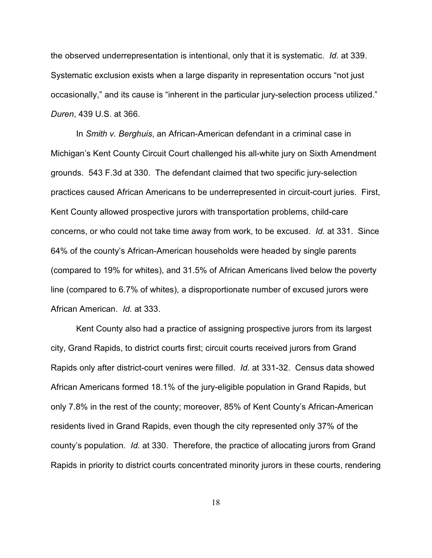the observed underrepresentation is intentional, only that it is systematic. *Id.* at 339. Systematic exclusion exists when a large disparity in representation occurs "not just occasionally," and its cause is "inherent in the particular jury-selection process utilized." *Duren*, 439 U.S. at 366.

In *Smith v. Berghuis*, an African-American defendant in a criminal case in Michigan's Kent County Circuit Court challenged his all-white jury on Sixth Amendment grounds. 543 F.3d at 330. The defendant claimed that two specific jury-selection practices caused African Americans to be underrepresented in circuit-court juries. First, Kent County allowed prospective jurors with transportation problems, child-care concerns, or who could not take time away from work, to be excused. *Id.* at 331. Since 64% of the county's African-American households were headed by single parents (compared to 19% for whites), and 31.5% of African Americans lived below the poverty line (compared to 6.7% of whites), a disproportionate number of excused jurors were African American. *Id.* at 333.

Kent County also had a practice of assigning prospective jurors from its largest city, Grand Rapids, to district courts first; circuit courts received jurors from Grand Rapids only after district-court venires were filled. *Id.* at 331-32. Census data showed African Americans formed 18.1% of the jury-eligible population in Grand Rapids, but only 7.8% in the rest of the county; moreover, 85% of Kent County's African-American residents lived in Grand Rapids, even though the city represented only 37% of the county's population. *Id.* at 330. Therefore, the practice of allocating jurors from Grand Rapids in priority to district courts concentrated minority jurors in these courts, rendering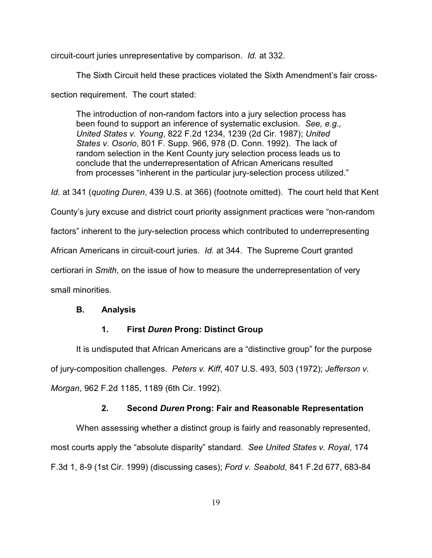circuit-court juries unrepresentative by comparison. *Id.* at 332.

The Sixth Circuit held these practices violated the Sixth Amendment's fair cross-

section requirement. The court stated:

The introduction of non-random factors into a jury selection process has been found to support an inference of systematic exclusion. *See, e.g., United States v. Young*, 822 F.2d 1234, 1239 (2d Cir. 1987); *United States v. Osorio*, 801 F. Supp. 966, 978 (D. Conn. 1992). The lack of random selection in the Kent County jury selection process leads us to conclude that the underrepresentation of African Americans resulted from processes "inherent in the particular jury-selection process utilized."

*Id.* at 341 (*quoting Duren*, 439 U.S. at 366) (footnote omitted). The court held that Kent

County's jury excuse and district court priority assignment practices were "non-random

factors" inherent to the jury-selection process which contributed to underrepresenting

African Americans in circuit-court juries. *Id.* at 344. The Supreme Court granted

certiorari in *Smith*, on the issue of how to measure the underrepresentation of very

small minorities.

## **B. Analysis**

## **1. First** *Duren* **Prong: Distinct Group**

It is undisputed that African Americans are a "distinctive group" for the purpose of jury-composition challenges. *Peters v. Kiff*, 407 U.S. 493, 503 (1972); *Jefferson v. Morgan*, 962 F.2d 1185, 1189 (6th Cir. 1992).

## **2. Second** *Duren* **Prong: Fair and Reasonable Representation**

When assessing whether a distinct group is fairly and reasonably represented, most courts apply the "absolute disparity" standard. *See United States v. Royal*, 174 F.3d 1, 8-9 (1st Cir. 1999) (discussing cases); *Ford v. Seabold*, 841 F.2d 677, 683-84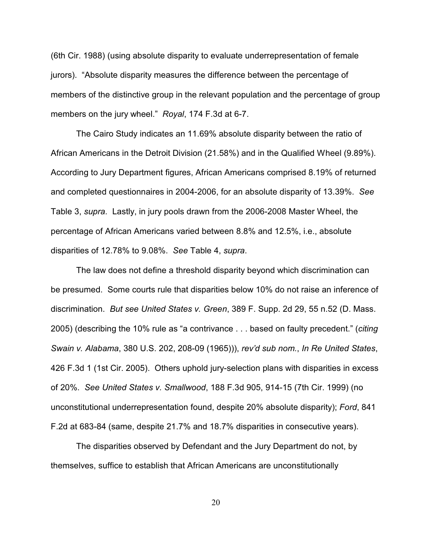(6th Cir. 1988) (using absolute disparity to evaluate underrepresentation of female jurors). "Absolute disparity measures the difference between the percentage of members of the distinctive group in the relevant population and the percentage of group members on the jury wheel." *Royal*, 174 F.3d at 6-7.

The Cairo Study indicates an 11.69% absolute disparity between the ratio of African Americans in the Detroit Division (21.58%) and in the Qualified Wheel (9.89%). According to Jury Department figures, African Americans comprised 8.19% of returned and completed questionnaires in 2004-2006, for an absolute disparity of 13.39%. *See* Table 3, *supra.* Lastly, in jury pools drawn from the 2006-2008 Master Wheel, the percentage of African Americans varied between 8.8% and 12.5%, i.e., absolute disparities of 12.78% to 9.08%. *See* Table 4, *supra*.

The law does not define a threshold disparity beyond which discrimination can be presumed. Some courts rule that disparities below 10% do not raise an inference of discrimination. *But see United States v. Green*, 389 F. Supp. 2d 29, 55 n.52 (D. Mass. 2005) (describing the 10% rule as "a contrivance . . . based on faulty precedent." (*citing Swain v. Alabama*, 380 U.S. 202, 208-09 (1965))), *rev'd sub nom.*, *In Re United States*, 426 F.3d 1 (1st Cir. 2005). Others uphold jury-selection plans with disparities in excess of 20%. *See United States v. Smallwood*, 188 F.3d 905, 914-15 (7th Cir. 1999) (no unconstitutional underrepresentation found, despite 20% absolute disparity); *Ford*, 841 F.2d at 683-84 (same, despite 21.7% and 18.7% disparities in consecutive years).

The disparities observed by Defendant and the Jury Department do not, by themselves, suffice to establish that African Americans are unconstitutionally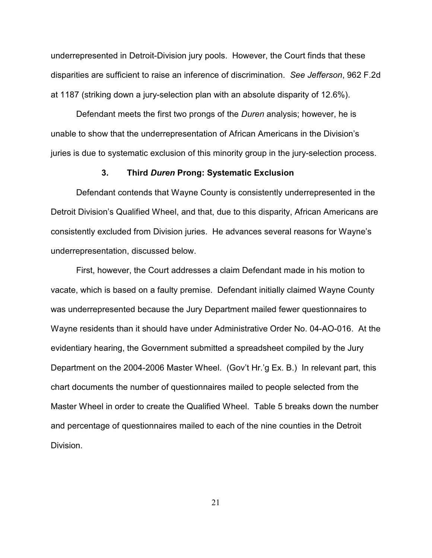underrepresented in Detroit-Division jury pools. However, the Court finds that these disparities are sufficient to raise an inference of discrimination. *See Jefferson*, 962 F.2d at 1187 (striking down a jury-selection plan with an absolute disparity of 12.6%).

Defendant meets the first two prongs of the *Duren* analysis; however, he is unable to show that the underrepresentation of African Americans in the Division's juries is due to systematic exclusion of this minority group in the jury-selection process.

#### **3. Third** *Duren* **Prong: Systematic Exclusion**

Defendant contends that Wayne County is consistently underrepresented in the Detroit Division's Qualified Wheel, and that, due to this disparity, African Americans are consistently excluded from Division juries. He advances several reasons for Wayne's underrepresentation, discussed below.

First, however, the Court addresses a claim Defendant made in his motion to vacate, which is based on a faulty premise. Defendant initially claimed Wayne County was underrepresented because the Jury Department mailed fewer questionnaires to Wayne residents than it should have under Administrative Order No. 04-AO-016. At the evidentiary hearing, the Government submitted a spreadsheet compiled by the Jury Department on the 2004-2006 Master Wheel. (Gov't Hr.'g Ex. B.) In relevant part, this chart documents the number of questionnaires mailed to people selected from the Master Wheel in order to create the Qualified Wheel. Table 5 breaks down the number and percentage of questionnaires mailed to each of the nine counties in the Detroit Division.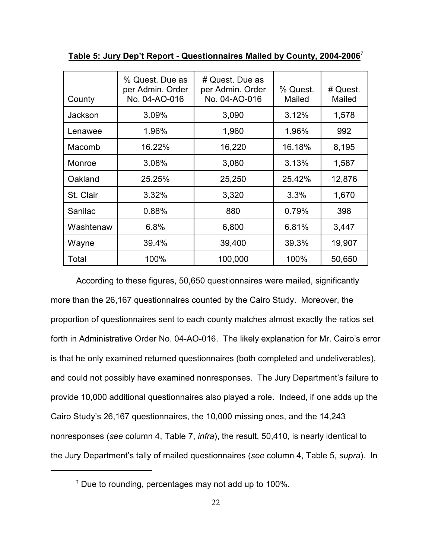| County    | % Quest. Due as<br>per Admin. Order<br>No. 04-AO-016 | # Quest. Due as<br>per Admin. Order<br>No. 04-AO-016 | % Quest.<br>Mailed | # Quest.<br>Mailed |
|-----------|------------------------------------------------------|------------------------------------------------------|--------------------|--------------------|
| Jackson   | 3.09%                                                | 3,090                                                | 3.12%              | 1,578              |
| Lenawee   | 1.96%                                                | 1,960                                                | 1.96%              | 992                |
| Macomb    | 16.22%                                               | 16,220                                               | 16.18%             | 8,195              |
| Monroe    | 3.08%                                                | 3,080                                                | 3.13%              | 1,587              |
| Oakland   | 25.25%                                               | 25,250                                               | 25.42%             | 12,876             |
| St. Clair | 3.32%                                                | 3,320                                                | 3.3%               | 1,670              |
| Sanilac   | 0.88%                                                | 880                                                  | 0.79%              | 398                |
| Washtenaw | 6.8%                                                 | 6,800                                                | 6.81%              | 3,447              |
| Wayne     | 39.4%                                                | 39,400                                               | 39.3%              | 19,907             |
| Total     | 100%                                                 | 100,000                                              | 100%               | 50,650             |

**Table 5: Jury Dep't Report - Questionnaires Mailed by County, 2004-2006**<sup>7</sup>

According to these figures, 50,650 questionnaires were mailed, significantly more than the 26,167 questionnaires counted by the Cairo Study. Moreover, the proportion of questionnaires sent to each county matches almost exactly the ratios set forth in Administrative Order No. 04-AO-016. The likely explanation for Mr. Cairo's error is that he only examined returned questionnaires (both completed and undeliverables), and could not possibly have examined nonresponses. The Jury Department's failure to provide 10,000 additional questionnaires also played a role. Indeed, if one adds up the Cairo Study's 26,167 questionnaires, the 10,000 missing ones, and the 14,243 nonresponses (*see* column 4, Table 7, *infra*), the result, 50,410, is nearly identical to the Jury Department's tally of mailed questionnaires (*see* column 4, Table 5, *supra*). In

 $\frac{7}{7}$  Due to rounding, percentages may not add up to 100%.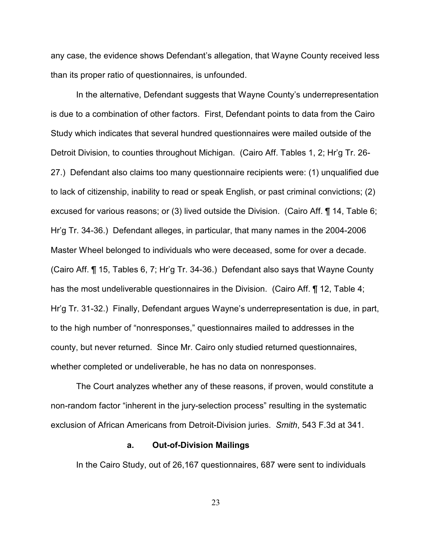any case, the evidence shows Defendant's allegation, that Wayne County received less than its proper ratio of questionnaires, is unfounded.

In the alternative, Defendant suggests that Wayne County's underrepresentation is due to a combination of other factors. First, Defendant points to data from the Cairo Study which indicates that several hundred questionnaires were mailed outside of the Detroit Division, to counties throughout Michigan. (Cairo Aff. Tables 1, 2; Hr'g Tr. 26- 27.) Defendant also claims too many questionnaire recipients were: (1) unqualified due to lack of citizenship, inability to read or speak English, or past criminal convictions; (2) excused for various reasons; or (3) lived outside the Division. (Cairo Aff. ¶ 14, Table 6; Hr'g Tr. 34-36.) Defendant alleges, in particular, that many names in the 2004-2006 Master Wheel belonged to individuals who were deceased, some for over a decade. (Cairo Aff. ¶ 15, Tables 6, 7; Hr'g Tr. 34-36.) Defendant also says that Wayne County has the most undeliverable questionnaires in the Division. (Cairo Aff. ¶ 12, Table 4; Hr'g Tr. 31-32.) Finally, Defendant argues Wayne's underrepresentation is due, in part, to the high number of "nonresponses," questionnaires mailed to addresses in the county, but never returned. Since Mr. Cairo only studied returned questionnaires, whether completed or undeliverable, he has no data on nonresponses.

The Court analyzes whether any of these reasons, if proven, would constitute a non-random factor "inherent in the jury-selection process" resulting in the systematic exclusion of African Americans from Detroit-Division juries. *Smith*, 543 F.3d at 341.

#### **a. Out-of-Division Mailings**

In the Cairo Study, out of 26,167 questionnaires, 687 were sent to individuals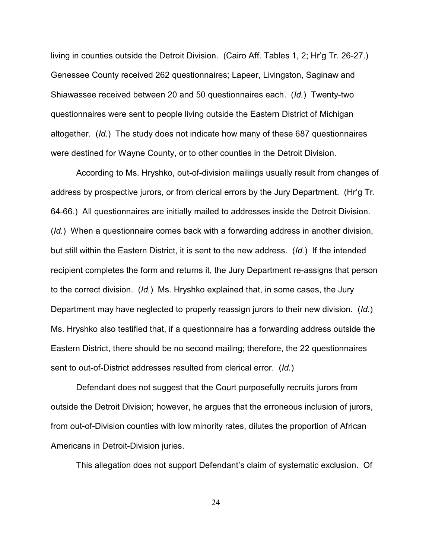living in counties outside the Detroit Division. (Cairo Aff. Tables 1, 2; Hr'g Tr. 26-27.) Genessee County received 262 questionnaires; Lapeer, Livingston, Saginaw and Shiawassee received between 20 and 50 questionnaires each. (*Id.*) Twenty-two questionnaires were sent to people living outside the Eastern District of Michigan altogether. (*Id.*) The study does not indicate how many of these 687 questionnaires were destined for Wayne County, or to other counties in the Detroit Division.

According to Ms. Hryshko, out-of-division mailings usually result from changes of address by prospective jurors, or from clerical errors by the Jury Department. (Hr'g Tr. 64-66.) All questionnaires are initially mailed to addresses inside the Detroit Division. (*Id.*) When a questionnaire comes back with a forwarding address in another division, but still within the Eastern District, it is sent to the new address. (*Id.*) If the intended recipient completes the form and returns it, the Jury Department re-assigns that person to the correct division. (*Id.*) Ms. Hryshko explained that, in some cases, the Jury Department may have neglected to properly reassign jurors to their new division. (*Id.*) Ms. Hryshko also testified that, if a questionnaire has a forwarding address outside the Eastern District, there should be no second mailing; therefore, the 22 questionnaires sent to out-of-District addresses resulted from clerical error. (*Id.*)

Defendant does not suggest that the Court purposefully recruits jurors from outside the Detroit Division; however, he argues that the erroneous inclusion of jurors, from out-of-Division counties with low minority rates, dilutes the proportion of African Americans in Detroit-Division juries.

This allegation does not support Defendant's claim of systematic exclusion. Of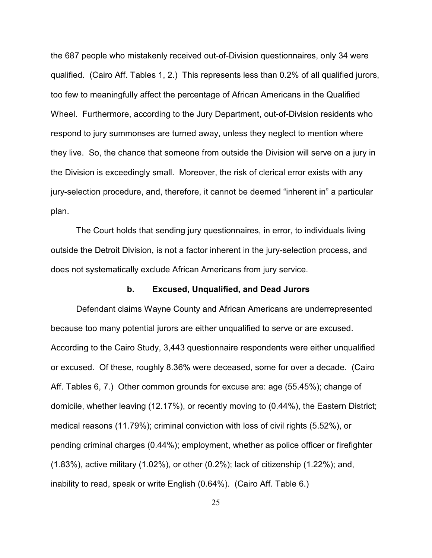the 687 people who mistakenly received out-of-Division questionnaires, only 34 were qualified. (Cairo Aff. Tables 1, 2.) This represents less than 0.2% of all qualified jurors, too few to meaningfully affect the percentage of African Americans in the Qualified Wheel. Furthermore, according to the Jury Department, out-of-Division residents who respond to jury summonses are turned away, unless they neglect to mention where they live. So, the chance that someone from outside the Division will serve on a jury in the Division is exceedingly small. Moreover, the risk of clerical error exists with any jury-selection procedure, and, therefore, it cannot be deemed "inherent in" a particular plan.

The Court holds that sending jury questionnaires, in error, to individuals living outside the Detroit Division, is not a factor inherent in the jury-selection process, and does not systematically exclude African Americans from jury service.

#### **b. Excused, Unqualified, and Dead Jurors**

Defendant claims Wayne County and African Americans are underrepresented because too many potential jurors are either unqualified to serve or are excused. According to the Cairo Study, 3,443 questionnaire respondents were either unqualified or excused. Of these, roughly 8.36% were deceased, some for over a decade. (Cairo Aff. Tables 6, 7.) Other common grounds for excuse are: age (55.45%); change of domicile, whether leaving (12.17%), or recently moving to (0.44%), the Eastern District; medical reasons (11.79%); criminal conviction with loss of civil rights (5.52%), or pending criminal charges (0.44%); employment, whether as police officer or firefighter (1.83%), active military (1.02%), or other (0.2%); lack of citizenship (1.22%); and, inability to read, speak or write English (0.64%). (Cairo Aff. Table 6.)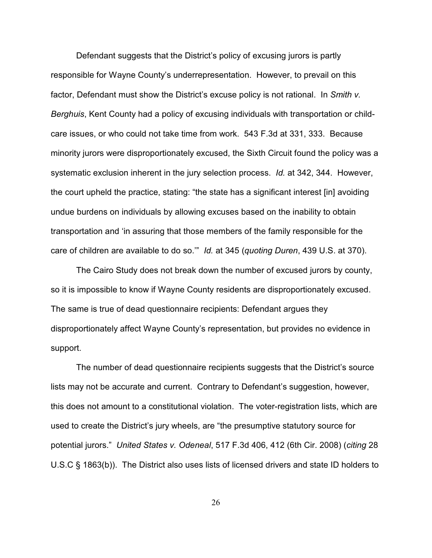Defendant suggests that the District's policy of excusing jurors is partly responsible for Wayne County's underrepresentation. However, to prevail on this factor, Defendant must show the District's excuse policy is not rational. In *Smith v. Berghuis*, Kent County had a policy of excusing individuals with transportation or childcare issues, or who could not take time from work. 543 F.3d at 331, 333. Because minority jurors were disproportionately excused, the Sixth Circuit found the policy was a systematic exclusion inherent in the jury selection process. *Id.* at 342, 344. However, the court upheld the practice, stating: "the state has a significant interest [in] avoiding undue burdens on individuals by allowing excuses based on the inability to obtain transportation and 'in assuring that those members of the family responsible for the care of children are available to do so.'" *Id.* at 345 (*quoting Duren*, 439 U.S. at 370).

The Cairo Study does not break down the number of excused jurors by county, so it is impossible to know if Wayne County residents are disproportionately excused. The same is true of dead questionnaire recipients: Defendant argues they disproportionately affect Wayne County's representation, but provides no evidence in support.

The number of dead questionnaire recipients suggests that the District's source lists may not be accurate and current. Contrary to Defendant's suggestion, however, this does not amount to a constitutional violation. The voter-registration lists, which are used to create the District's jury wheels, are "the presumptive statutory source for potential jurors." *United States v. Odeneal*, 517 F.3d 406, 412 (6th Cir. 2008) (*citing* 28 U.S.C § 1863(b)). The District also uses lists of licensed drivers and state ID holders to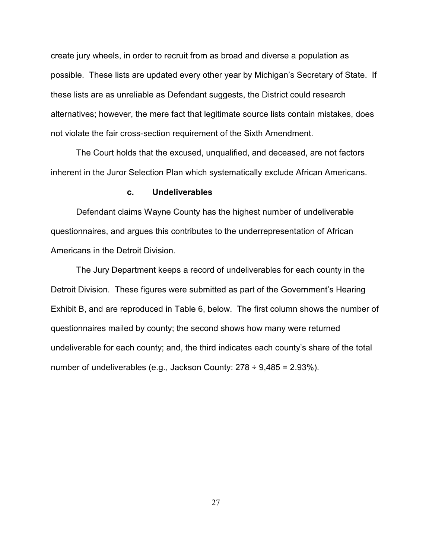create jury wheels, in order to recruit from as broad and diverse a population as possible. These lists are updated every other year by Michigan's Secretary of State. If these lists are as unreliable as Defendant suggests, the District could research alternatives; however, the mere fact that legitimate source lists contain mistakes, does not violate the fair cross-section requirement of the Sixth Amendment.

The Court holds that the excused, unqualified, and deceased, are not factors inherent in the Juror Selection Plan which systematically exclude African Americans.

#### **c. Undeliverables**

Defendant claims Wayne County has the highest number of undeliverable questionnaires, and argues this contributes to the underrepresentation of African Americans in the Detroit Division.

The Jury Department keeps a record of undeliverables for each county in the Detroit Division. These figures were submitted as part of the Government's Hearing Exhibit B, and are reproduced in Table 6, below. The first column shows the number of questionnaires mailed by county; the second shows how many were returned undeliverable for each county; and, the third indicates each county's share of the total number of undeliverables (e.g., Jackson County:  $278 \div 9,485 = 2.93\%$ ).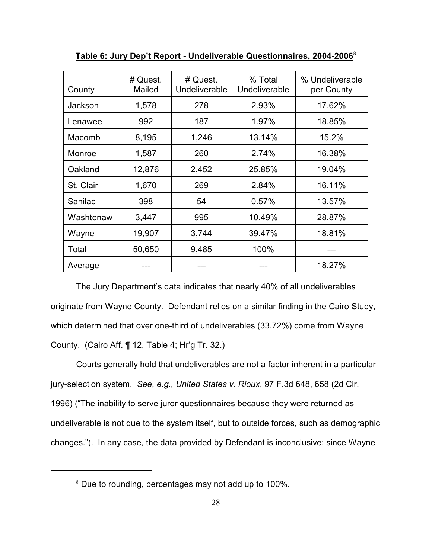| County    | # Quest.<br>Mailed | # Quest.<br>Undeliverable | % Total<br>Undeliverable | % Undeliverable<br>per County |
|-----------|--------------------|---------------------------|--------------------------|-------------------------------|
| Jackson   | 1,578              | 278                       | 2.93%                    | 17.62%                        |
| Lenawee   | 992                | 187                       | 1.97%                    | 18.85%                        |
| Macomb    | 8,195              | 1,246                     | 13.14%                   | 15.2%                         |
| Monroe    | 1,587              | 260                       | 2.74%                    | 16.38%                        |
| Oakland   | 12,876             | 2,452                     | 25.85%                   | 19.04%                        |
| St. Clair | 1,670              | 269                       | 2.84%                    | 16.11%                        |
| Sanilac   | 398                | 54                        | 0.57%                    | 13.57%                        |
| Washtenaw | 3,447              | 995                       | 10.49%                   | 28.87%                        |
| Wayne     | 19,907             | 3,744                     | 39.47%                   | 18.81%                        |
| Total     | 50,650             | 9,485                     | 100%                     |                               |
| Average   |                    |                           |                          | 18.27%                        |

**Table 6: Jury Dep't Report - Undeliverable Questionnaires, 2004-2006**<sup>8</sup>

The Jury Department's data indicates that nearly 40% of all undeliverables originate from Wayne County. Defendant relies on a similar finding in the Cairo Study, which determined that over one-third of undeliverables (33.72%) come from Wayne County. (Cairo Aff. ¶ 12, Table 4; Hr'g Tr. 32.)

Courts generally hold that undeliverables are not a factor inherent in a particular jury-selection system. *See, e.g., United States v. Rioux*, 97 F.3d 648, 658 (2d Cir. 1996) ("The inability to serve juror questionnaires because they were returned as undeliverable is not due to the system itself, but to outside forces, such as demographic changes."). In any case, the data provided by Defendant is inconclusive: since Wayne

<sup>&</sup>lt;sup>8</sup> Due to rounding, percentages may not add up to 100%.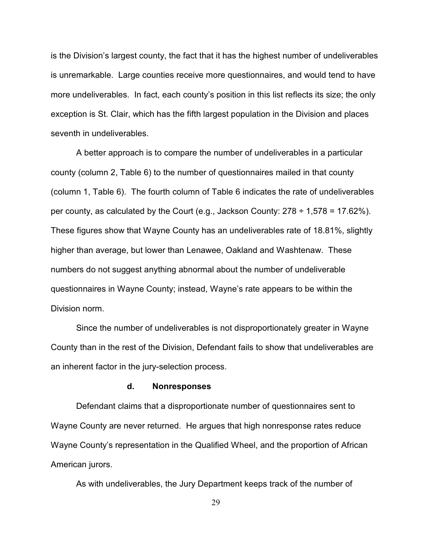is the Division's largest county, the fact that it has the highest number of undeliverables is unremarkable. Large counties receive more questionnaires, and would tend to have more undeliverables. In fact, each county's position in this list reflects its size; the only exception is St. Clair, which has the fifth largest population in the Division and places seventh in undeliverables.

A better approach is to compare the number of undeliverables in a particular county (column 2, Table 6) to the number of questionnaires mailed in that county (column 1, Table 6). The fourth column of Table 6 indicates the rate of undeliverables per county, as calculated by the Court (e.g., Jackson County:  $278 \div 1,578 = 17.62\%$ ). These figures show that Wayne County has an undeliverables rate of 18.81%, slightly higher than average, but lower than Lenawee, Oakland and Washtenaw. These numbers do not suggest anything abnormal about the number of undeliverable questionnaires in Wayne County; instead, Wayne's rate appears to be within the Division norm.

Since the number of undeliverables is not disproportionately greater in Wayne County than in the rest of the Division, Defendant fails to show that undeliverables are an inherent factor in the jury-selection process.

## **d. Nonresponses**

Defendant claims that a disproportionate number of questionnaires sent to Wayne County are never returned. He argues that high nonresponse rates reduce Wayne County's representation in the Qualified Wheel, and the proportion of African American jurors.

As with undeliverables, the Jury Department keeps track of the number of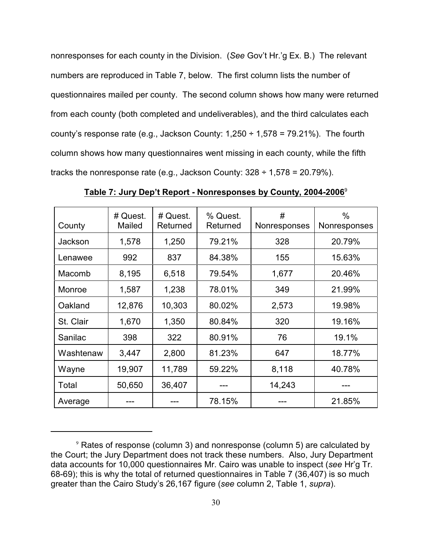nonresponses for each county in the Division. (*See* Gov't Hr.'g Ex. B.) The relevant numbers are reproduced in Table 7, below. The first column lists the number of questionnaires mailed per county. The second column shows how many were returned from each county (both completed and undeliverables), and the third calculates each county's response rate (e.g., Jackson County:  $1,250 \div 1,578 = 79.21\%$ ). The fourth column shows how many questionnaires went missing in each county, while the fifth tracks the nonresponse rate (e.g., Jackson County:  $328 \div 1,578 = 20.79\%$ ).

| County    | # Quest.<br>Mailed | # Quest.<br>Returned | % Quest.<br>Returned | #<br>Nonresponses | $\%$<br>Nonresponses |
|-----------|--------------------|----------------------|----------------------|-------------------|----------------------|
| Jackson   | 1,578              | 1,250                | 79.21%               | 328               | 20.79%               |
| Lenawee   | 992                | 837                  | 84.38%               | 155               | 15.63%               |
| Macomb    | 8,195              | 6,518                | 79.54%               | 1,677             | 20.46%               |
| Monroe    | 1,587              | 1,238                | 78.01%               | 349               | 21.99%               |
| Oakland   | 12,876             | 10,303               | 80.02%               | 2,573             | 19.98%               |
| St. Clair | 1,670              | 1,350                | 80.84%               | 320               | 19.16%               |
| Sanilac   | 398                | 322                  | 80.91%               | 76                | 19.1%                |
| Washtenaw | 3,447              | 2,800                | 81.23%               | 647               | 18.77%               |
| Wayne     | 19,907             | 11,789               | 59.22%               | 8,118             | 40.78%               |
| Total     | 50,650             | 36,407               |                      | 14,243            |                      |
| Average   |                    |                      | 78.15%               |                   | 21.85%               |

**Table 7: Jury Dep't Report - Nonresponses by County, 2004-2006**<sup>9</sup>

 $9$  Rates of response (column 3) and nonresponse (column 5) are calculated by the Court; the Jury Department does not track these numbers. Also, Jury Department data accounts for 10,000 questionnaires Mr. Cairo was unable to inspect (*see* Hr'g Tr. 68-69); this is why the total of returned questionnaires in Table 7 (36,407) is so much greater than the Cairo Study's 26,167 figure (*see* column 2, Table 1, *supra*).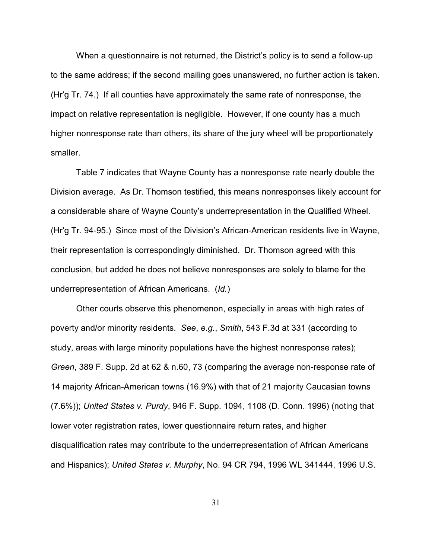When a questionnaire is not returned, the District's policy is to send a follow-up to the same address; if the second mailing goes unanswered, no further action is taken. (Hr'g Tr. 74.) If all counties have approximately the same rate of nonresponse, the impact on relative representation is negligible. However, if one county has a much higher nonresponse rate than others, its share of the jury wheel will be proportionately smaller.

Table 7 indicates that Wayne County has a nonresponse rate nearly double the Division average. As Dr. Thomson testified, this means nonresponses likely account for a considerable share of Wayne County's underrepresentation in the Qualified Wheel. (Hr'g Tr. 94-95.) Since most of the Division's African-American residents live in Wayne, their representation is correspondingly diminished. Dr. Thomson agreed with this conclusion, but added he does not believe nonresponses are solely to blame for the underrepresentation of African Americans. (*Id.*)

Other courts observe this phenomenon, especially in areas with high rates of poverty and/or minority residents. *See*, *e.g.*, *Smith*, 543 F.3d at 331 (according to study, areas with large minority populations have the highest nonresponse rates); *Green*, 389 F. Supp. 2d at 62 & n.60, 73 (comparing the average non-response rate of 14 majority African-American towns (16.9%) with that of 21 majority Caucasian towns (7.6%)); *United States v. Purdy*, 946 F. Supp. 1094, 1108 (D. Conn. 1996) (noting that lower voter registration rates, lower questionnaire return rates, and higher disqualification rates may contribute to the underrepresentation of African Americans and Hispanics); *United States v. Murphy*, No. 94 CR 794, 1996 WL 341444, 1996 U.S.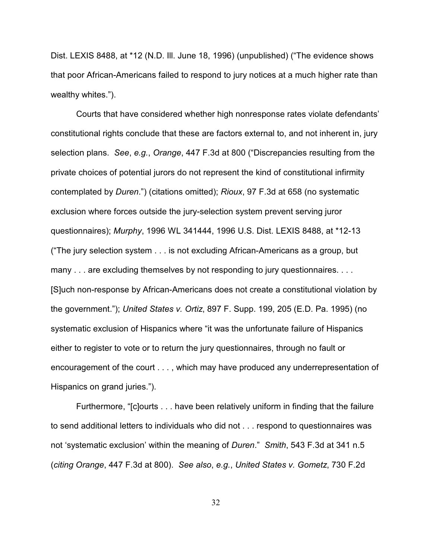Dist. LEXIS 8488, at \*12 (N.D. Ill. June 18, 1996) (unpublished) ("The evidence shows that poor African-Americans failed to respond to jury notices at a much higher rate than wealthy whites.").

Courts that have considered whether high nonresponse rates violate defendants' constitutional rights conclude that these are factors external to, and not inherent in, jury selection plans. *See*, *e.g.*, *Orange*, 447 F.3d at 800 ("Discrepancies resulting from the private choices of potential jurors do not represent the kind of constitutional infirmity contemplated by *Duren*.") (citations omitted); *Rioux*, 97 F.3d at 658 (no systematic exclusion where forces outside the jury-selection system prevent serving juror questionnaires); *Murphy*, 1996 WL 341444, 1996 U.S. Dist. LEXIS 8488, at \*12-13 ("The jury selection system . . . is not excluding African-Americans as a group, but many . . . are excluding themselves by not responding to jury questionnaires. . . . [S]uch non-response by African-Americans does not create a constitutional violation by the government."); *United States v. Ortiz*, 897 F. Supp. 199, 205 (E.D. Pa. 1995) (no systematic exclusion of Hispanics where "it was the unfortunate failure of Hispanics either to register to vote or to return the jury questionnaires, through no fault or encouragement of the court . . . , which may have produced any underrepresentation of Hispanics on grand juries.").

Furthermore, "[c]ourts . . . have been relatively uniform in finding that the failure to send additional letters to individuals who did not . . . respond to questionnaires was not 'systematic exclusion' within the meaning of *Duren*." *Smith*, 543 F.3d at 341 n.5 (*citing Orange*, 447 F.3d at 800). *See also*, *e.g.*, *United States v. Gometz*, 730 F.2d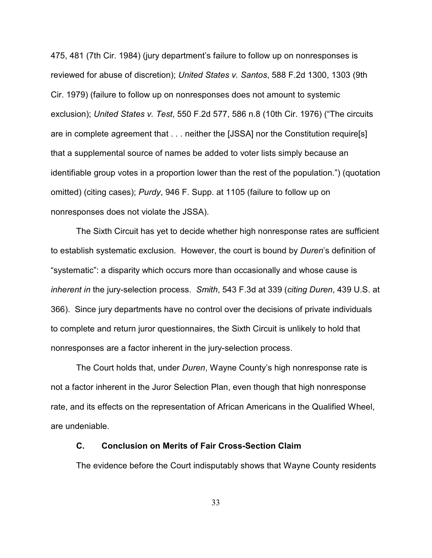475, 481 (7th Cir. 1984) (jury department's failure to follow up on nonresponses is reviewed for abuse of discretion); *United States v. Santos*, 588 F.2d 1300, 1303 (9th Cir. 1979) (failure to follow up on nonresponses does not amount to systemic exclusion); *United States v. Test*, 550 F.2d 577, 586 n.8 (10th Cir. 1976) ("The circuits are in complete agreement that . . . neither the [JSSA] nor the Constitution require[s] that a supplemental source of names be added to voter lists simply because an identifiable group votes in a proportion lower than the rest of the population.") (quotation omitted) (citing cases); *Purdy*, 946 F. Supp. at 1105 (failure to follow up on nonresponses does not violate the JSSA).

The Sixth Circuit has yet to decide whether high nonresponse rates are sufficient to establish systematic exclusion. However, the court is bound by *Duren*'s definition of "systematic": a disparity which occurs more than occasionally and whose cause is *inherent in* the jury-selection process. *Smith*, 543 F.3d at 339 (*citing Duren*, 439 U.S. at 366). Since jury departments have no control over the decisions of private individuals to complete and return juror questionnaires, the Sixth Circuit is unlikely to hold that nonresponses are a factor inherent in the jury-selection process.

The Court holds that, under *Duren*, Wayne County's high nonresponse rate is not a factor inherent in the Juror Selection Plan, even though that high nonresponse rate, and its effects on the representation of African Americans in the Qualified Wheel, are undeniable.

## **C. Conclusion on Merits of Fair Cross-Section Claim**

The evidence before the Court indisputably shows that Wayne County residents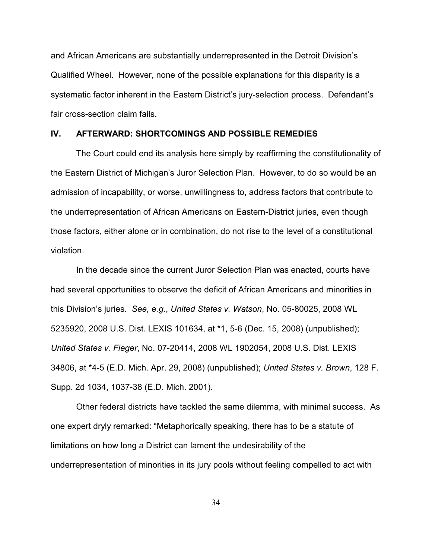and African Americans are substantially underrepresented in the Detroit Division's Qualified Wheel. However, none of the possible explanations for this disparity is a systematic factor inherent in the Eastern District's jury-selection process. Defendant's fair cross-section claim fails.

#### **IV. AFTERWARD: SHORTCOMINGS AND POSSIBLE REMEDIES**

The Court could end its analysis here simply by reaffirming the constitutionality of the Eastern District of Michigan's Juror Selection Plan. However, to do so would be an admission of incapability, or worse, unwillingness to, address factors that contribute to the underrepresentation of African Americans on Eastern-District juries, even though those factors, either alone or in combination, do not rise to the level of a constitutional violation.

In the decade since the current Juror Selection Plan was enacted, courts have had several opportunities to observe the deficit of African Americans and minorities in this Division's juries. *See, e.g.*, *United States v. Watson*, No. 05-80025, 2008 WL 5235920, 2008 U.S. Dist. LEXIS 101634, at \*1, 5-6 (Dec. 15, 2008) (unpublished); *United States v. Fieger*, No. 07-20414, 2008 WL 1902054, 2008 U.S. Dist. LEXIS 34806, at \*4-5 (E.D. Mich. Apr. 29, 2008) (unpublished); *United States v. Brown*, 128 F. Supp. 2d 1034, 1037-38 (E.D. Mich. 2001).

Other federal districts have tackled the same dilemma, with minimal success. As one expert dryly remarked: "Metaphorically speaking, there has to be a statute of limitations on how long a District can lament the undesirability of the underrepresentation of minorities in its jury pools without feeling compelled to act with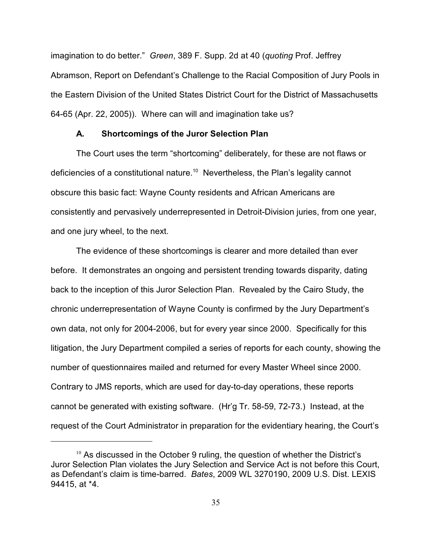imagination to do better." *Green*, 389 F. Supp. 2d at 40 (*quoting* Prof. Jeffrey Abramson, Report on Defendant's Challenge to the Racial Composition of Jury Pools in the Eastern Division of the United States District Court for the District of Massachusetts 64-65 (Apr. 22, 2005)). Where can will and imagination take us?

#### **A. Shortcomings of the Juror Selection Plan**

The Court uses the term "shortcoming" deliberately, for these are not flaws or deficiencies of a constitutional nature. $^{10}\,$  Nevertheless, the Plan's legality cannot obscure this basic fact: Wayne County residents and African Americans are consistently and pervasively underrepresented in Detroit-Division juries, from one year, and one jury wheel, to the next.

The evidence of these shortcomings is clearer and more detailed than ever before. It demonstrates an ongoing and persistent trending towards disparity, dating back to the inception of this Juror Selection Plan. Revealed by the Cairo Study, the chronic underrepresentation of Wayne County is confirmed by the Jury Department's own data, not only for 2004-2006, but for every year since 2000. Specifically for this litigation, the Jury Department compiled a series of reports for each county, showing the number of questionnaires mailed and returned for every Master Wheel since 2000. Contrary to JMS reports, which are used for day-to-day operations, these reports cannot be generated with existing software. (Hr'g Tr. 58-59, 72-73.) Instead, at the request of the Court Administrator in preparation for the evidentiary hearing, the Court's

 $10$  As discussed in the October 9 ruling, the question of whether the District's Juror Selection Plan violates the Jury Selection and Service Act is not before this Court, as Defendant's claim is time-barred. *Bates*, 2009 WL 3270190, 2009 U.S. Dist. LEXIS 94415, at \*4.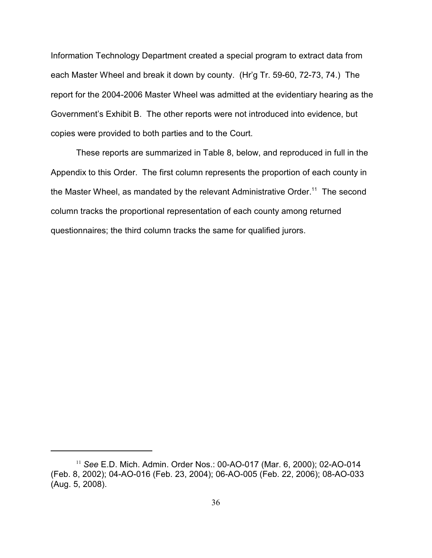Information Technology Department created a special program to extract data from each Master Wheel and break it down by county. (Hr'g Tr. 59-60, 72-73, 74.) The report for the 2004-2006 Master Wheel was admitted at the evidentiary hearing as the Government's Exhibit B. The other reports were not introduced into evidence, but copies were provided to both parties and to the Court.

These reports are summarized in Table 8, below, and reproduced in full in the Appendix to this Order. The first column represents the proportion of each county in the Master Wheel, as mandated by the relevant Administrative Order. $^{11}$  The second column tracks the proportional representation of each county among returned questionnaires; the third column tracks the same for qualified jurors.

<sup>&</sup>lt;sup>11</sup> See E.D. Mich. Admin. Order Nos.: 00-AO-017 (Mar. 6, 2000); 02-AO-014 (Feb. 8, 2002); 04-AO-016 (Feb. 23, 2004); 06-AO-005 (Feb. 22, 2006); 08-AO-033 (Aug. 5, 2008).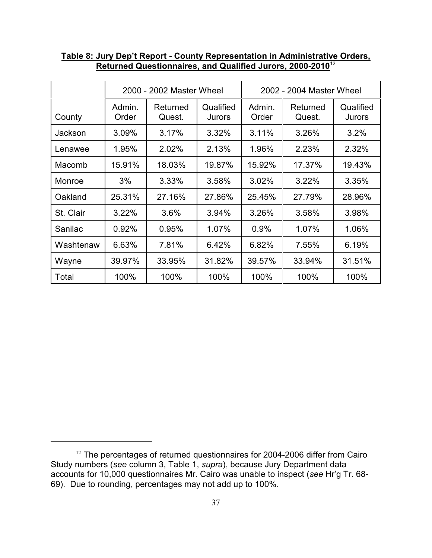|           | 2000 - 2002 Master Wheel |                    | 2002 - 2004 Master Wheel |                 |                    |                     |
|-----------|--------------------------|--------------------|--------------------------|-----------------|--------------------|---------------------|
| County    | Admin.<br>Order          | Returned<br>Quest. | Qualified<br>Jurors      | Admin.<br>Order | Returned<br>Quest. | Qualified<br>Jurors |
| Jackson   | 3.09%                    | 3.17%              | 3.32%                    | 3.11%           | 3.26%              | 3.2%                |
| Lenawee   | 1.95%                    | 2.02%              | 2.13%                    | 1.96%           | 2.23%              | 2.32%               |
| Macomb    | 15.91%                   | 18.03%             | 19.87%                   | 15.92%          | 17.37%             | 19.43%              |
| Monroe    | 3%                       | 3.33%              | 3.58%                    | 3.02%           | 3.22%              | 3.35%               |
| Oakland   | 25.31%                   | 27.16%             | 27.86%                   | 25.45%          | 27.79%             | 28.96%              |
| St. Clair | 3.22%                    | 3.6%               | 3.94%                    | 3.26%           | 3.58%              | 3.98%               |
| Sanilac   | 0.92%                    | 0.95%              | 1.07%                    | 0.9%            | 1.07%              | 1.06%               |
| Washtenaw | 6.63%                    | 7.81%              | 6.42%                    | 6.82%           | 7.55%              | 6.19%               |
| Wayne     | 39.97%                   | 33.95%             | 31.82%                   | 39.57%          | 33.94%             | 31.51%              |
| Total     | 100%                     | 100%               | 100%                     | 100%            | 100%               | 100%                |

## **Table 8: Jury Dep't Report - County Representation in Administrative Orders, Returned Questionnaires, and Qualified Jurors, 2000-2010**<sup>12</sup>

 $12$  The percentages of returned questionnaires for 2004-2006 differ from Cairo Study numbers (*see* column 3, Table 1, *supra*), because Jury Department data accounts for 10,000 questionnaires Mr. Cairo was unable to inspect (*see* Hr'g Tr. 68- 69). Due to rounding, percentages may not add up to 100%.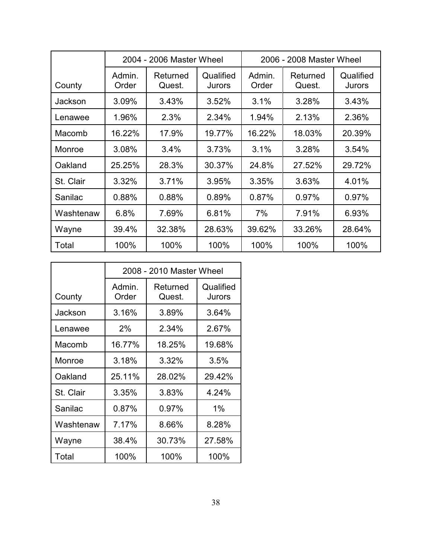|           | 2004 - 2006 Master Wheel |                    | 2006 - 2008 Master Wheel   |                 |                    |                     |
|-----------|--------------------------|--------------------|----------------------------|-----------------|--------------------|---------------------|
| County    | Admin.<br>Order          | Returned<br>Quest. | Qualified<br><b>Jurors</b> | Admin.<br>Order | Returned<br>Quest. | Qualified<br>Jurors |
| Jackson   | 3.09%                    | 3.43%              | 3.52%                      | 3.1%            | 3.28%              | 3.43%               |
| Lenawee   | 1.96%                    | 2.3%               | 2.34%                      | 1.94%           | 2.13%              | 2.36%               |
| Macomb    | 16.22%                   | 17.9%              | 19.77%                     | 16.22%          | 18.03%             | 20.39%              |
| Monroe    | 3.08%                    | 3.4%               | 3.73%                      | 3.1%            | 3.28%              | 3.54%               |
| Oakland   | 25.25%                   | 28.3%              | 30.37%                     | 24.8%           | 27.52%             | 29.72%              |
| St. Clair | 3.32%                    | 3.71%              | 3.95%                      | 3.35%           | 3.63%              | 4.01%               |
| Sanilac   | 0.88%                    | 0.88%              | 0.89%                      | 0.87%           | 0.97%              | 0.97%               |
| Washtenaw | 6.8%                     | 7.69%              | 6.81%                      | 7%              | 7.91%              | 6.93%               |
| Wayne     | 39.4%                    | 32.38%             | 28.63%                     | 39.62%          | 33.26%             | 28.64%              |
| Total     | 100%                     | 100%               | 100%                       | 100%            | 100%               | 100%                |

|           | 2008 - 2010 Master Wheel |                    |                            |  |  |
|-----------|--------------------------|--------------------|----------------------------|--|--|
| County    | Admin.<br>Order          | Returned<br>Quest. | Qualified<br><b>Jurors</b> |  |  |
| Jackson   | 3.16%                    | 3.89%              | 3.64%                      |  |  |
| Lenawee   | 2%                       | 2.34%              | 2.67%                      |  |  |
| Macomb    | 16.77%                   | 18.25%             | 19.68%                     |  |  |
| Monroe    | 3.18%                    | 3.32%              | 3.5%                       |  |  |
| Oakland   | 25.11%                   | 28.02%             | 29.42%                     |  |  |
| St. Clair | 3.35%                    | 3.83%              | 4.24%                      |  |  |
| Sanilac   | 0.87%                    | 0.97%              | 1%                         |  |  |
| Washtenaw | 7.17%                    | 8.66%              | 8.28%                      |  |  |
| Wayne     | 38.4%                    | 30.73%             | 27.58%                     |  |  |
| Total     | 100%                     | 100%               | 100%                       |  |  |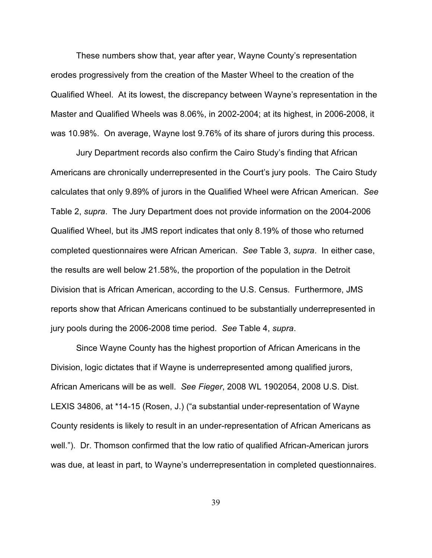These numbers show that, year after year, Wayne County's representation erodes progressively from the creation of the Master Wheel to the creation of the Qualified Wheel. At its lowest, the discrepancy between Wayne's representation in the Master and Qualified Wheels was 8.06%, in 2002-2004; at its highest, in 2006-2008, it was 10.98%. On average, Wayne lost 9.76% of its share of jurors during this process.

Jury Department records also confirm the Cairo Study's finding that African Americans are chronically underrepresented in the Court's jury pools. The Cairo Study calculates that only 9.89% of jurors in the Qualified Wheel were African American. *See* Table 2, *supra*. The Jury Department does not provide information on the 2004-2006 Qualified Wheel, but its JMS report indicates that only 8.19% of those who returned completed questionnaires were African American. *See* Table 3, *supra*. In either case, the results are well below 21.58%, the proportion of the population in the Detroit Division that is African American, according to the U.S. Census. Furthermore, JMS reports show that African Americans continued to be substantially underrepresented in jury pools during the 2006-2008 time period. *See* Table 4, *supra*.

Since Wayne County has the highest proportion of African Americans in the Division, logic dictates that if Wayne is underrepresented among qualified jurors, African Americans will be as well. *See Fieger*, 2008 WL 1902054, 2008 U.S. Dist. LEXIS 34806, at \*14-15 (Rosen, J.) ("a substantial under-representation of Wayne County residents is likely to result in an under-representation of African Americans as well."). Dr. Thomson confirmed that the low ratio of qualified African-American jurors was due, at least in part, to Wayne's underrepresentation in completed questionnaires.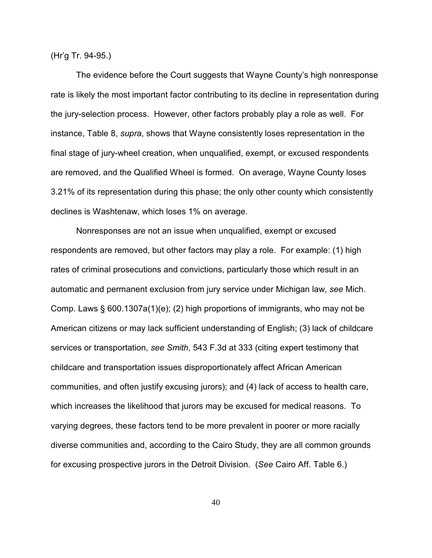(Hr'g Tr. 94-95.)

The evidence before the Court suggests that Wayne County's high nonresponse rate is likely the most important factor contributing to its decline in representation during the jury-selection process. However, other factors probably play a role as well. For instance, Table 8, *supra*, shows that Wayne consistently loses representation in the final stage of jury-wheel creation, when unqualified, exempt, or excused respondents are removed, and the Qualified Wheel is formed. On average, Wayne County loses 3.21% of its representation during this phase; the only other county which consistently declines is Washtenaw, which loses 1% on average.

Nonresponses are not an issue when unqualified, exempt or excused respondents are removed, but other factors may play a role. For example: (1) high rates of criminal prosecutions and convictions, particularly those which result in an automatic and permanent exclusion from jury service under Michigan law, *see* Mich. Comp. Laws § 600.1307a(1)(e); (2) high proportions of immigrants, who may not be American citizens or may lack sufficient understanding of English; (3) lack of childcare services or transportation, *see Smith*, 543 F.3d at 333 (citing expert testimony that childcare and transportation issues disproportionately affect African American communities, and often justify excusing jurors); and (4) lack of access to health care, which increases the likelihood that jurors may be excused for medical reasons. To varying degrees, these factors tend to be more prevalent in poorer or more racially diverse communities and, according to the Cairo Study, they are all common grounds for excusing prospective jurors in the Detroit Division. (*See* Cairo Aff. Table 6.)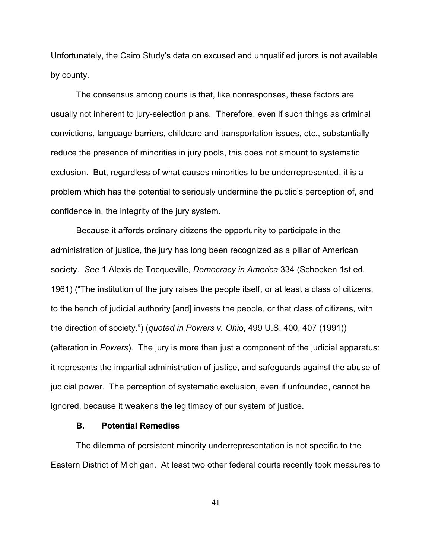Unfortunately, the Cairo Study's data on excused and unqualified jurors is not available by county.

The consensus among courts is that, like nonresponses, these factors are usually not inherent to jury-selection plans. Therefore, even if such things as criminal convictions, language barriers, childcare and transportation issues, etc., substantially reduce the presence of minorities in jury pools, this does not amount to systematic exclusion. But, regardless of what causes minorities to be underrepresented, it is a problem which has the potential to seriously undermine the public's perception of, and confidence in, the integrity of the jury system.

Because it affords ordinary citizens the opportunity to participate in the administration of justice, the jury has long been recognized as a pillar of American society. *See* 1 Alexis de Tocqueville, *Democracy in America* 334 (Schocken 1st ed. 1961) ("The institution of the jury raises the people itself, or at least a class of citizens, to the bench of judicial authority [and] invests the people, or that class of citizens, with the direction of society.") (*quoted in Powers v. Ohio*, 499 U.S. 400, 407 (1991)) (alteration in *Powers*). The jury is more than just a component of the judicial apparatus: it represents the impartial administration of justice, and safeguards against the abuse of judicial power. The perception of systematic exclusion, even if unfounded, cannot be ignored, because it weakens the legitimacy of our system of justice.

### **B. Potential Remedies**

The dilemma of persistent minority underrepresentation is not specific to the Eastern District of Michigan. At least two other federal courts recently took measures to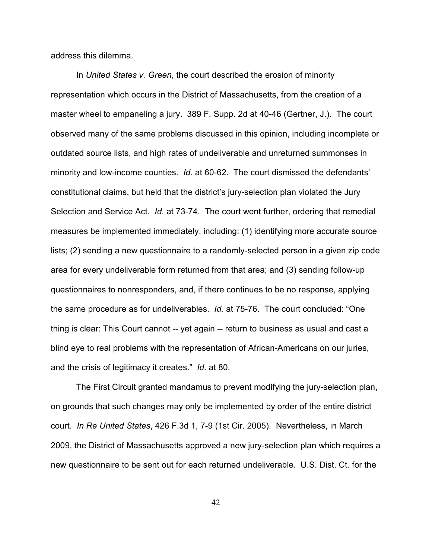address this dilemma.

In *United States v. Green*, the court described the erosion of minority representation which occurs in the District of Massachusetts, from the creation of a master wheel to empaneling a jury. 389 F. Supp. 2d at 40-46 (Gertner, J.). The court observed many of the same problems discussed in this opinion, including incomplete or outdated source lists, and high rates of undeliverable and unreturned summonses in minority and low-income counties. *Id.* at 60-62. The court dismissed the defendants' constitutional claims, but held that the district's jury-selection plan violated the Jury Selection and Service Act. *Id.* at 73-74. The court went further, ordering that remedial measures be implemented immediately, including: (1) identifying more accurate source lists; (2) sending a new questionnaire to a randomly-selected person in a given zip code area for every undeliverable form returned from that area; and (3) sending follow-up questionnaires to nonresponders, and, if there continues to be no response, applying the same procedure as for undeliverables. *Id.* at 75-76. The court concluded: "One thing is clear: This Court cannot -- yet again -- return to business as usual and cast a blind eye to real problems with the representation of African-Americans on our juries, and the crisis of legitimacy it creates." *Id.* at 80.

The First Circuit granted mandamus to prevent modifying the jury-selection plan, on grounds that such changes may only be implemented by order of the entire district court. *In Re United States*, 426 F.3d 1, 7-9 (1st Cir. 2005). Nevertheless, in March 2009, the District of Massachusetts approved a new jury-selection plan which requires a new questionnaire to be sent out for each returned undeliverable. U.S. Dist. Ct. for the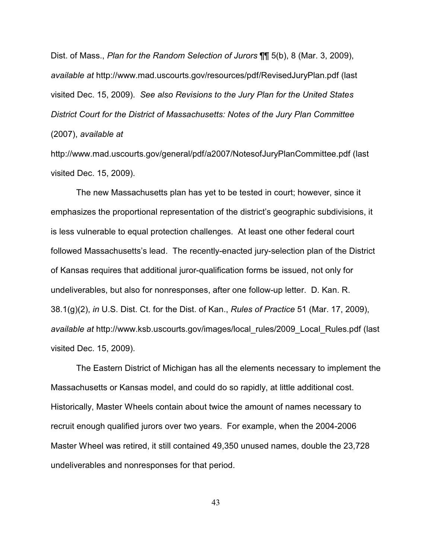Dist. of Mass., *Plan for the Random Selection of Jurors* ¶¶ 5(b), 8 (Mar. 3, 2009), *available at* http://www.mad.uscourts.gov/resources/pdf/RevisedJuryPlan.pdf (last visited Dec. 15, 2009). *See also Revisions to the Jury Plan for the United States District Court for the District of Massachusetts: Notes of the Jury Plan Committee* (2007), *available at*

http://www.mad.uscourts.gov/general/pdf/a2007/NotesofJuryPlanCommittee.pdf (last visited Dec. 15, 2009).

The new Massachusetts plan has yet to be tested in court; however, since it emphasizes the proportional representation of the district's geographic subdivisions, it is less vulnerable to equal protection challenges. At least one other federal court followed Massachusetts's lead. The recently-enacted jury-selection plan of the District of Kansas requires that additional juror-qualification forms be issued, not only for undeliverables, but also for nonresponses, after one follow-up letter. D. Kan. R. 38.1(g)(2), *in* U.S. Dist. Ct. for the Dist. of Kan., *Rules of Practice* 51 (Mar. 17, 2009), *available at* http://www.ksb.uscourts.gov/images/local\_rules/2009\_Local\_Rules.pdf (last visited Dec. 15, 2009).

The Eastern District of Michigan has all the elements necessary to implement the Massachusetts or Kansas model, and could do so rapidly, at little additional cost. Historically, Master Wheels contain about twice the amount of names necessary to recruit enough qualified jurors over two years. For example, when the 2004-2006 Master Wheel was retired, it still contained 49,350 unused names, double the 23,728 undeliverables and nonresponses for that period.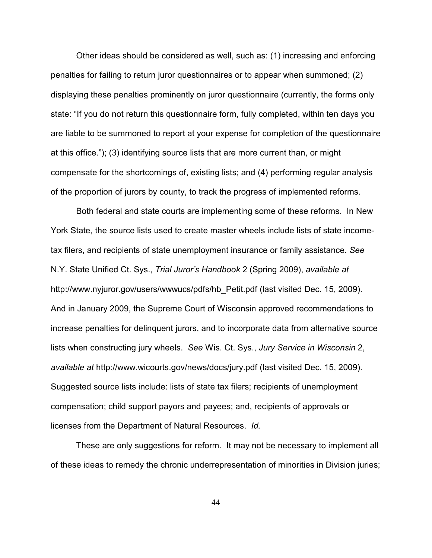Other ideas should be considered as well, such as: (1) increasing and enforcing penalties for failing to return juror questionnaires or to appear when summoned; (2) displaying these penalties prominently on juror questionnaire (currently, the forms only state: "If you do not return this questionnaire form, fully completed, within ten days you are liable to be summoned to report at your expense for completion of the questionnaire at this office."); (3) identifying source lists that are more current than, or might compensate for the shortcomings of, existing lists; and (4) performing regular analysis of the proportion of jurors by county, to track the progress of implemented reforms.

Both federal and state courts are implementing some of these reforms. In New York State, the source lists used to create master wheels include lists of state incometax filers, and recipients of state unemployment insurance or family assistance. *See* N.Y. State Unified Ct. Sys., *Trial Juror's Handbook* 2 (Spring 2009), *available at* http://www.nyjuror.gov/users/wwwucs/pdfs/hb\_Petit.pdf (last visited Dec. 15, 2009). And in January 2009, the Supreme Court of Wisconsin approved recommendations to increase penalties for delinquent jurors, and to incorporate data from alternative source lists when constructing jury wheels. *See* Wis. Ct. Sys., *Jury Service in Wisconsin* 2, *available at* http://www.wicourts.gov/news/docs/jury.pdf (last visited Dec. 15, 2009). Suggested source lists include: lists of state tax filers; recipients of unemployment compensation; child support payors and payees; and, recipients of approvals or licenses from the Department of Natural Resources. *Id.*

These are only suggestions for reform. It may not be necessary to implement all of these ideas to remedy the chronic underrepresentation of minorities in Division juries;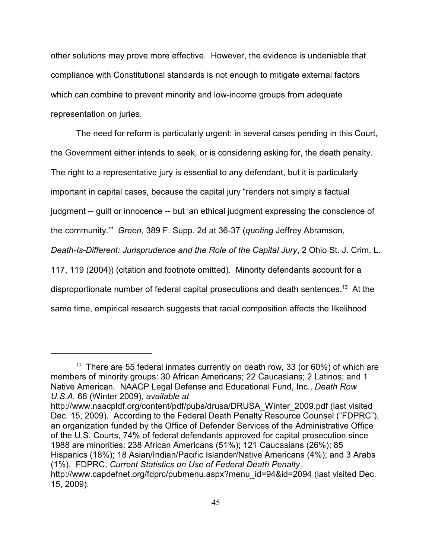other solutions may prove more effective. However, the evidence is undeniable that compliance with Constitutional standards is not enough to mitigate external factors which can combine to prevent minority and low-income groups from adequate representation on juries.

The need for reform is particularly urgent: in several cases pending in this Court, the Government either intends to seek, or is considering asking for, the death penalty. The right to a representative jury is essential to any defendant, but it is particularly important in capital cases, because the capital jury "renders not simply a factual judgment -- guilt or innocence -- but 'an ethical judgment expressing the conscience of the community.'" *Green*, 389 F. Supp. 2d at 36-37 (*quoting* Jeffrey Abramson, *Death-Is-Different: Jurisprudence and the Role of the Capital Jury*, 2 Ohio St. J. Crim. L. 117, 119 (2004)) (citation and footnote omitted). Minority defendants account for a disproportionate number of federal capital prosecutions and death sentences.<sup>13</sup> At the same time, empirical research suggests that racial composition affects the likelihood

http://www.naacpldf.org/content/pdf/pubs/drusa/DRUSA\_Winter\_2009.pdf (last visited Dec. 15, 2009). According to the Federal Death Penalty Resource Counsel ("FDPRC"), an organization funded by the Office of Defender Services of the Administrative Office of the U.S. Courts, 74% of federal defendants approved for capital prosecution since 1988 are minorities: 238 African Americans (51%); 121 Caucasians (26%); 85 Hispanics (18%); 18 Asian/Indian/Pacific Islander/Native Americans (4%); and 3 Arabs (1%). FDPRC, *Current Statistics on Use of Federal Death Penalty*, http://www.capdefnet.org/fdprc/pubmenu.aspx?menu\_id=94&id=2094 (last visited Dec.

 $13$  There are 55 federal inmates currently on death row, 33 (or 60%) of which are members of minority groups: 30 African Americans; 22 Caucasians; 2 Latinos; and 1 Native American. NAACP Legal Defense and Educational Fund, Inc., *Death Row U.S.A.* 66 (Winter 2009), *available at*

<sup>15, 2009).</sup>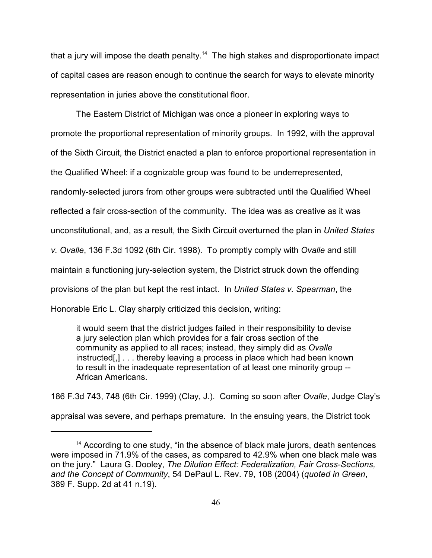that a jury will impose the death penalty.<sup>14</sup> The high stakes and disproportionate impact of capital cases are reason enough to continue the search for ways to elevate minority representation in juries above the constitutional floor.

The Eastern District of Michigan was once a pioneer in exploring ways to promote the proportional representation of minority groups. In 1992, with the approval of the Sixth Circuit, the District enacted a plan to enforce proportional representation in the Qualified Wheel: if a cognizable group was found to be underrepresented, randomly-selected jurors from other groups were subtracted until the Qualified Wheel reflected a fair cross-section of the community. The idea was as creative as it was unconstitutional, and, as a result, the Sixth Circuit overturned the plan in *United States v. Ovalle*, 136 F.3d 1092 (6th Cir. 1998). To promptly comply with *Ovalle* and still maintain a functioning jury-selection system, the District struck down the offending provisions of the plan but kept the rest intact. In *United States v. Spearman*, the Honorable Eric L. Clay sharply criticized this decision, writing:

it would seem that the district judges failed in their responsibility to devise a jury selection plan which provides for a fair cross section of the community as applied to all races; instead, they simply did as *Ovalle* instructed[,] . . . thereby leaving a process in place which had been known to result in the inadequate representation of at least one minority group -- African Americans.

186 F.3d 743, 748 (6th Cir. 1999) (Clay, J.). Coming so soon after *Ovalle*, Judge Clay's appraisal was severe, and perhaps premature. In the ensuing years, the District took

 $14$  According to one study, "in the absence of black male jurors, death sentences were imposed in 71.9% of the cases, as compared to 42.9% when one black male was on the jury." Laura G. Dooley, *The Dilution Effect: Federalization, Fair Cross-Sections, and the Concept of Community*, 54 DePaul L. Rev. 79, 108 (2004) (*quoted in Green*, 389 F. Supp. 2d at 41 n.19).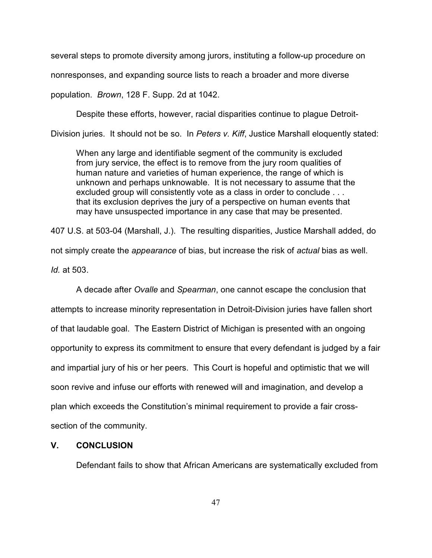several steps to promote diversity among jurors, instituting a follow-up procedure on nonresponses, and expanding source lists to reach a broader and more diverse

population. *Brown*, 128 F. Supp. 2d at 1042.

Despite these efforts, however, racial disparities continue to plague Detroit-

Division juries. It should not be so. In *Peters v. Kiff*, Justice Marshall eloquently stated:

When any large and identifiable segment of the community is excluded from jury service, the effect is to remove from the jury room qualities of human nature and varieties of human experience, the range of which is unknown and perhaps unknowable. It is not necessary to assume that the excluded group will consistently vote as a class in order to conclude . . . that its exclusion deprives the jury of a perspective on human events that may have unsuspected importance in any case that may be presented.

407 U.S. at 503-04 (Marshall, J.). The resulting disparities, Justice Marshall added, do not simply create the *appearance* of bias, but increase the risk of *actual* bias as well. *Id.* at 503.

A decade after *Ovalle* and *Spearman*, one cannot escape the conclusion that attempts to increase minority representation in Detroit-Division juries have fallen short of that laudable goal. The Eastern District of Michigan is presented with an ongoing opportunity to express its commitment to ensure that every defendant is judged by a fair and impartial jury of his or her peers. This Court is hopeful and optimistic that we will soon revive and infuse our efforts with renewed will and imagination, and develop a plan which exceeds the Constitution's minimal requirement to provide a fair crosssection of the community.

## **V. CONCLUSION**

Defendant fails to show that African Americans are systematically excluded from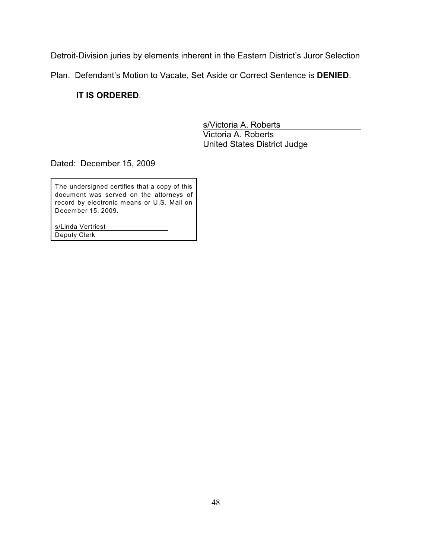Detroit-Division juries by elements inherent in the Eastern District's Juror Selection

Plan. Defendant's Motion to Vacate, Set Aside or Correct Sentence is **DENIED**.

**IT IS ORDERED**.

s/Victoria A. Roberts Victoria A. Roberts United States District Judge

Dated: December 15, 2009

The undersigned certifies that a copy of this document was served on the attorneys of record by electronic means or U.S. Mail on December 15, 2009.

s/Linda Vertriest Deputy Clerk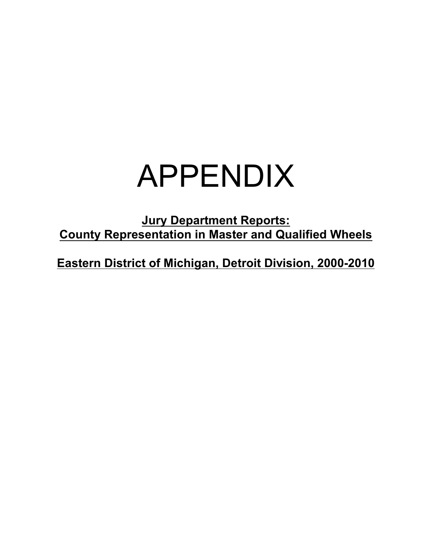# APPENDIX

**Jury Department Reports: County Representation in Master and Qualified Wheels**

**Eastern District of Michigan, Detroit Division, 2000-2010**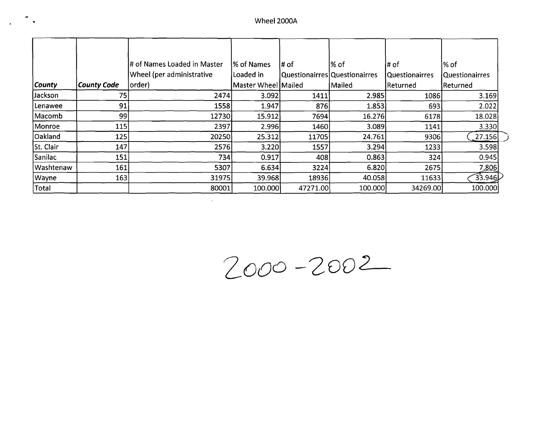$\mathbb{Z}$ 

 $\mathbf{r}$ 

|               |             | # of Names Loaded in Master | 1% of Names         | # of                          | l% of   | ∣# of                 | ∣% of          |
|---------------|-------------|-----------------------------|---------------------|-------------------------------|---------|-----------------------|----------------|
|               |             | Wheel (per administrative   | Loaded in           | Questionairres Questionairres |         | <b>Questionairres</b> | Questionairres |
| <i>County</i> | County Code | order)                      | Master Wheel Mailed |                               | Mailed  | Returned              | Returned       |
| Jackson       | 75          | 2474                        | 3.092               | 1411                          | 2.985   | 1086                  | 3.169          |
| Lenawee       | 91          | 1558                        | 1.947               | 876                           | 1.853   | 693                   | 2.022          |
| Macomb        | 99          | 12730                       | 15.912              | 7694                          | 16.276  | 6178                  | 18.028         |
| Monroe        | 115         | 2397                        | 2.996               | 1460                          | 3.089   | 1141                  | 3.330          |
| Oakland       | 125         | 20250                       | 25.312              | 11705                         | 24.761  | 9306                  | 27.156         |
| St. Clair     | 147         | 2576                        | 3.220               | 1557                          | 3.294   | 1233                  | 3.598          |
| Sanilac       | 151         | 734                         | 0.917               | 408                           | 0.863   | 324                   | 0.945          |
| Washtenaw     | 161         | 5307                        | 6.634               | 3224                          | 6.820   | 2675                  | 7.806          |
| Wayne         | 163         | 31975                       | 39.968              | 18936                         | 40.058  | 11633                 | 33.946         |
| Total         |             | 80001                       | 100.000             | 47271.00                      | 100.000 | 34269.00              | 100.000        |

 $\mathcal{L}^{\mathcal{L}}(\mathcal{L}^{\mathcal{L}})$  and  $\mathcal{L}^{\mathcal{L}}(\mathcal{L}^{\mathcal{L}})$  . The contribution of the set of  $\mathcal{L}^{\mathcal{L}}$ 

 $2000 - 2002$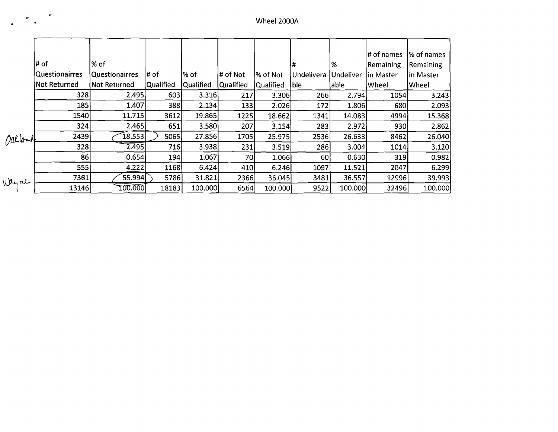|                       |         |                                                                                       |                                                                                                                                                 |                                                                                  |                                                                                                   |                                                                            |                                                                                                           |                                                       | % of names                                                                                   |
|-----------------------|---------|---------------------------------------------------------------------------------------|-------------------------------------------------------------------------------------------------------------------------------------------------|----------------------------------------------------------------------------------|---------------------------------------------------------------------------------------------------|----------------------------------------------------------------------------|-----------------------------------------------------------------------------------------------------------|-------------------------------------------------------|----------------------------------------------------------------------------------------------|
| l# of                 |         |                                                                                       |                                                                                                                                                 |                                                                                  |                                                                                                   |                                                                            |                                                                                                           |                                                       | Remaining                                                                                    |
| <b>Questionairres</b> |         |                                                                                       |                                                                                                                                                 |                                                                                  |                                                                                                   | Undelivera                                                                 | <b>Undeliver</b>                                                                                          |                                                       | in Master                                                                                    |
| Not Returned          |         |                                                                                       |                                                                                                                                                 |                                                                                  |                                                                                                   |                                                                            |                                                                                                           |                                                       | Wheel                                                                                        |
| 328                   |         |                                                                                       |                                                                                                                                                 | 217                                                                              |                                                                                                   |                                                                            | 2.794                                                                                                     | 1054                                                  | 3.243                                                                                        |
| 185                   |         |                                                                                       |                                                                                                                                                 |                                                                                  |                                                                                                   |                                                                            | 1.806                                                                                                     | 680                                                   | 2.093                                                                                        |
|                       |         | 3612                                                                                  |                                                                                                                                                 |                                                                                  |                                                                                                   | 1341                                                                       | 14.083                                                                                                    | 4994                                                  | 15.368                                                                                       |
|                       |         | 651                                                                                   |                                                                                                                                                 | 207                                                                              |                                                                                                   |                                                                            | 2.972                                                                                                     |                                                       | 2.862                                                                                        |
|                       |         |                                                                                       |                                                                                                                                                 |                                                                                  |                                                                                                   |                                                                            | 26.633                                                                                                    | 8462                                                  | 26.040                                                                                       |
|                       |         |                                                                                       |                                                                                                                                                 |                                                                                  |                                                                                                   |                                                                            | 3.004                                                                                                     | 1014                                                  | 3.120                                                                                        |
| 86                    |         |                                                                                       | 1.067                                                                                                                                           | 70                                                                               |                                                                                                   |                                                                            |                                                                                                           | 319                                                   | 0.982                                                                                        |
|                       |         |                                                                                       |                                                                                                                                                 |                                                                                  |                                                                                                   | 1097                                                                       | 11.521                                                                                                    | 2047                                                  | 6.299                                                                                        |
| 7361                  |         |                                                                                       | 31.821                                                                                                                                          |                                                                                  |                                                                                                   | 3481                                                                       | 36.557                                                                                                    |                                                       | 39.993                                                                                       |
|                       |         |                                                                                       |                                                                                                                                                 |                                                                                  |                                                                                                   | 9522                                                                       |                                                                                                           |                                                       | 100.000                                                                                      |
|                       | Daklort | l% of<br>Questionairres<br>Not Returned<br>1540<br>324<br>2439<br>328<br>555<br>13146 | l# of<br>Qualified<br>2.495<br>1.407<br>11.715<br>2.465<br>$\left[ 18.553 \right]$<br>$\overline{2.495}$<br>0.654<br>4.222<br>55.994<br>100.000 | l% of<br>Qualified<br>603<br>388<br>5065<br>716 <br>194<br>1168<br>5786<br>18183 | # of Not<br>Qualified<br>3.316<br>2.134<br>19.865<br>3.580<br>27.856<br>3.938<br>6.424<br>100.000 | % of Not<br>Qualified<br>133<br>1225<br>1705<br>231<br>410<br>2366<br>6564 | <b>ble</b><br>3.306<br>2.026<br>18.662<br>3.154<br>25.975<br>3.519<br>1.066<br>6.246<br>36.045<br>100.000 | 1%<br>lable<br>266<br>172<br>283<br>2536<br>286<br>60 | # of names<br>Remaining<br> in Master<br> Wheel<br>930<br>0.630<br>12996<br>32496<br>100.000 |

 $\mathcal{L}_{\text{eff}}$ 

 $\ddot{\phantom{a}}$ 

 $\overline{a}$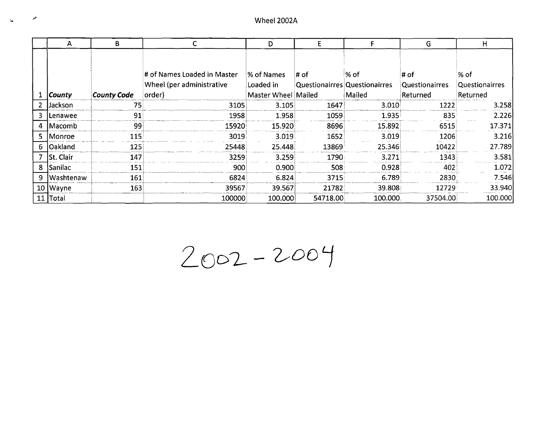| المو           |               |                        |                             | Wheel 2002A         |                               |         |                |                |
|----------------|---------------|------------------------|-----------------------------|---------------------|-------------------------------|---------|----------------|----------------|
|                |               |                        |                             |                     |                               |         |                |                |
|                |               | B<br>$\mathsf{C}$<br>A |                             | D                   | E<br>F                        |         | G              | H              |
|                |               |                        |                             |                     |                               |         |                |                |
|                |               |                        | # of Names Loaded in Master | % of Names          | # of                          | % of    | # of           | % of           |
|                |               |                        | Wheel (per administrative   | Loaded in           | Questionairres Questionairres |         | Questionairres | Questionairres |
| $\mathbf{1}$   | <b>County</b> | <b>County Code</b>     | order)                      | Master Wheel Mailed |                               | Mailed  | Returned       | Returned       |
| 2 <sup>1</sup> | Jackson       | 75                     | 3105                        | 3.105               | 1647                          | 3.010   | 1222           | 3.258          |
| 3              | Lenawee       | 91                     | 1958                        | 1.958               | 1059                          | 1.935   | 835            | 2.226          |
| 4              | Macomb        | 99                     | 15920                       | 15.920              | 8696                          | 15.892  | 6515           | 17.371         |
| 5              | Monroe        | 115                    | 3019                        | 3.019               | 1652                          | 3.019   | 1206           | 3.216          |
| 6              | Oakland       | 125                    | 25448                       | 25.448              | 13869                         | 25.346  | 10422          | 27.789         |
| $\overline{7}$ | St. Clair     | 147                    | 3259                        | 3.259               | 1790                          | 3.271   | 1343           | 3.581          |
| 8              | Sanilac       | 151                    | 900                         | 0.900               | 508                           | 0.928   | 402            | 1.072          |
| 9              | Washtenaw     | 161                    | 6824                        | 6.824               | 3715                          | 6.789   | 2830           | 7.546          |
|                | 10 Wayne      | 163                    | 39567                       | 39.567              | 21782                         | 39.808  | 12729          | 33.940         |
| 11             | Total         |                        | 100000                      | 100.000             | 54718.00                      | 100.000 | 37504.00       | 100.000        |

 $2002 - 2004$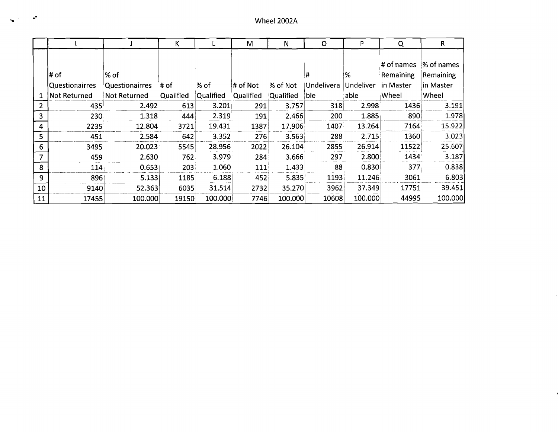|                |                         |                               | K         |           | M         | N         | O               | P              | Q                                    | R.                                   |
|----------------|-------------------------|-------------------------------|-----------|-----------|-----------|-----------|-----------------|----------------|--------------------------------------|--------------------------------------|
|                | l# of<br>Questionairres | % of<br><b>Questionairres</b> | ∣# of     | ∣% of     | # of Not  | % of Not  | #<br>Undelivera | %<br>Undeliver | # of names<br>Remaining<br>in Master | % of names<br>Remaining<br>in Master |
|                | Not Returned            | Not Returned                  | Qualified | Qualified | Qualified | Qualified | ble             | able           | Wheel                                | Wheel                                |
| $\overline{2}$ | 435                     | 2.492                         | 613       | 3.201     | 291       | 3.757     | 318             | 2.998          | 1436                                 | 3.191                                |
| 3              | 230                     | 1.318                         | 444       | 2.319     | 191       | 2.466     | 200             | 1.885          | 890                                  | 1.978                                |
| 4              | 2235                    | 12.804                        | 3721      | 19.431    | 1387      | 17.906    | 1407            | 13.264         | 7164                                 | 15.922                               |
| 5              | 451                     | 2.584                         | 642       | 3.352     | 276       | 3.563     | 288             | 2.715          | 1360                                 | 3.023                                |
| 6              | 3495                    | 20.023                        | 5545      | 28.956    | 2022      | 26.104    | 2855            | 26.914         | 11522                                | 25.607                               |
| 7              | 459                     | 2.630                         | 762.      | 3.979     | 284       | 3.666     | 297             | 2.800          | 1434                                 | 3.187                                |
| 8              | 114                     | 0.653                         | 203       | 1.060     | 111       | 1.433     | 88              | 0.830          | 377                                  | 0.838                                |
| 9              | 896                     | 5.133                         | 1185      | 6.188     | 452       | 5.835     | 1193            | 11.246         | 3061                                 | 6.803                                |
| 10             | 9140                    | 52.363                        | 6035      | 31.514    | 2732      | 35.270    | 3962            | 37.349         | 17751                                | 39.451                               |
| 11             | 17455                   | 100.000                       | 19150     | 100.000   | 7746      | 100.000   | 10608           | 100.000        | 44995                                | 100.000                              |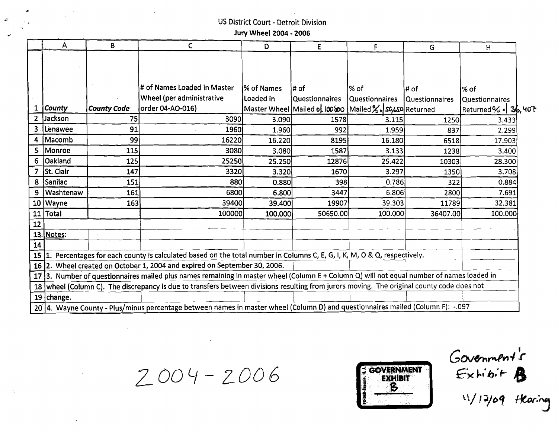## ~' US District Court - Detroit Division Jury Wheel 2004 - 2006

|       | A                | B                  | $\mathsf{C}$                                                                                                                               | D.                | E                                                     | F                     | G                     | H                                                                  |  |
|-------|------------------|--------------------|--------------------------------------------------------------------------------------------------------------------------------------------|-------------------|-------------------------------------------------------|-----------------------|-----------------------|--------------------------------------------------------------------|--|
|       |                  |                    |                                                                                                                                            |                   |                                                       |                       |                       |                                                                    |  |
|       |                  |                    |                                                                                                                                            |                   |                                                       |                       |                       |                                                                    |  |
|       |                  |                    |                                                                                                                                            |                   |                                                       |                       |                       |                                                                    |  |
|       |                  |                    | # of Names Loaded in Master                                                                                                                | l% of Names       | l# of                                                 | ∣% of                 | l# of                 | $%$ of                                                             |  |
|       |                  |                    | <b>Wheel (per administrative</b>                                                                                                           | Loaded in         | Questionnaires                                        | <b>Questionnaires</b> | <b>Questionnaires</b> | Questionnaires                                                     |  |
| 1     | <b>County</b>    | <b>County Code</b> | order 04-AO-016)                                                                                                                           |                   | Master Wheel Mailed of 100600 Mailed % So So Returned |                       |                       | $\lvert \textsf{Returned} \% \textsf{ o} \rvert \textsf{ 3b, 407}$ |  |
| 2.    | Jackson          | 75                 | 3090                                                                                                                                       | 3.090             | 1578                                                  | 3.115                 | 1250                  | 3.433                                                              |  |
| 3.    | Lenawee          | 91                 | 1960                                                                                                                                       | 1.960             | 992                                                   | 1.959                 | 837                   | 2.299                                                              |  |
|       | 4   Macomb       | 99                 | 16220                                                                                                                                      | 16.220            | 8195                                                  | 16.180                | 6518                  | 17.903                                                             |  |
| $5 -$ | Monroe           | 115                | 3080                                                                                                                                       | 3.080             | 1587                                                  | 3.133                 | 1238                  | 3.400                                                              |  |
| 6.    | Oakland          | 125                | 25250                                                                                                                                      | 25.250            | 12876                                                 | 25.422                | 10303                 | 28.300                                                             |  |
| 7     | St. Clair        | 147                | 3320                                                                                                                                       | 3.32 <sub>0</sub> | 1670                                                  | 3.297                 | 1350                  | 3.708                                                              |  |
| 8     | Sanilac          | 151                | 880                                                                                                                                        | 0.880             | 398                                                   | 0.786                 | 322                   | 0.884                                                              |  |
| 9     | <b>Washtenaw</b> | 161                | 6800                                                                                                                                       | 6.800             | 3447                                                  | 6.806                 | 2800                  | 7.691                                                              |  |
|       | 10 Wayne         | 163                | 39400                                                                                                                                      | 39.400            | 19907                                                 | 39.303                | 11789                 | 32.381                                                             |  |
| 11    | Total            |                    | 100000                                                                                                                                     | 100.000           | 50650.00                                              | 100.000               | 36407.00              | 100.000                                                            |  |
| 12    |                  |                    |                                                                                                                                            |                   |                                                       |                       |                       |                                                                    |  |
|       | 13 Notes:        |                    |                                                                                                                                            |                   |                                                       |                       |                       |                                                                    |  |
| 14    |                  |                    |                                                                                                                                            |                   |                                                       |                       |                       |                                                                    |  |
|       |                  |                    | 15 1. Percentages for each county is calculated based on the total number in Columns C, E, G, I, K, M, O & Q, respectively.                |                   |                                                       |                       |                       |                                                                    |  |
|       |                  |                    | 16   2. Wheel created on October 1, 2004 and expired on September 30, 2006.                                                                |                   |                                                       |                       |                       |                                                                    |  |
|       |                  |                    | 17 3. Number of questionnaires mailed plus names remaining in master wheel (Column E + Column Q) will not equal number of names loaded in  |                   |                                                       |                       |                       |                                                                    |  |
|       |                  |                    | 18 wheel (Column C). The discrepancy is due to transfers between divisions resulting from jurors moving. The original county code does not |                   |                                                       |                       |                       |                                                                    |  |
|       | 19 $change.$     |                    |                                                                                                                                            |                   |                                                       |                       |                       |                                                                    |  |
|       |                  |                    | 20  4. Wayne County - Plus/minus percentage between names in master wheel (Column D) and questionnaires mailed (Column F): -.097           |                   |                                                       |                       |                       |                                                                    |  |

 $2004 - 2006$   $\frac{1}{2}$  GOVERNMENT

 $\sim 10^{11}$ 



Government's  $11/12/09$  Hearing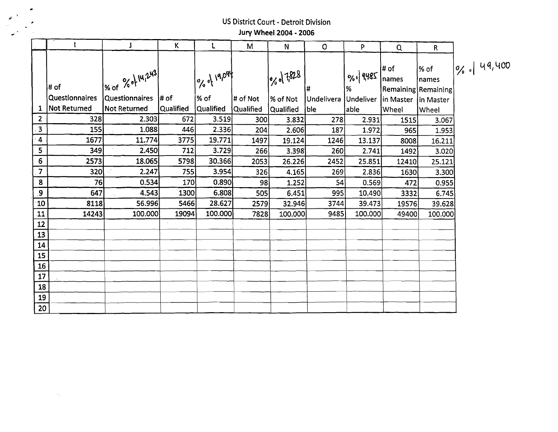## .-1' US District Court - Detroit Division Jury Wheel 2004 - 2006

 $\overline{\phantom{a}}$ 

٠

 $\langle \sigma_{\rm L} \rangle$ 

|                 |                       | J                                       | К         | L             | M               | N             | $\mathbf{O}$         | P.            | Q                                     | $\mathsf{R}$   |                   |
|-----------------|-----------------------|-----------------------------------------|-----------|---------------|-----------------|---------------|----------------------|---------------|---------------------------------------|----------------|-------------------|
|                 | ∣# of                 | $\frac{966}{100}$ % of $\frac{16}{100}$ |           | log of 19,094 |                 | $ 0, 0 $ 7828 |                      | 0%. 9485<br>% | ∣# of<br>names<br>Remaining Remaining | ∣% of<br>names | $ 0/2 $ $ 49/400$ |
|                 | <b>Questionnaires</b> | Questionnaires  # of                    |           | % of          | $\sharp$ of Not | ∣% of Not     | Undelivera Undeliver |               | In Master In Master                   |                |                   |
| 1               | <b>Not Returned</b>   | <b>Not Returned</b>                     | Qualified | Qualified     | Qualified       | Qualified     | ble                  | able          | Wheel                                 | Wheel          |                   |
| $\overline{2}$  | 328                   | 2.303                                   | 672       | 3.519         | 300             | 3.832         | 278                  | 2.931         | 1515                                  | 3.067          |                   |
| $\mathbf{3}$    | 155                   | 1.088                                   | 446       | 2.336         | 204             | 2.606         | 187                  | 1.972         | 965                                   | 1.953          |                   |
| 4               | 1677                  | 11.774                                  | 3775      | 19.771        | 1497            | 19.124        | 1246                 | 13.137        | 8008                                  | 16.211         |                   |
| 5               | 349                   | 2.450                                   | 712       | 3.729         | 266             | 3.398         | 260                  | 2.741         | 1492                                  | 3.020          |                   |
| $6\phantom{1}$  | 2573                  | 18.065                                  | 5798      | 30.366        | 2053            | 26.226        | 2452                 | 25.851        | 12410                                 | 25.121         |                   |
| $\overline{7}$  | 320                   | 2.247                                   | 755       | 3.954         | 326             | 4.165         | 269                  | 2.836         | 1630                                  | 3.300          |                   |
| $\mathbf{8}$    | 76                    | 0.534                                   | 170       | 0.890         | 98              | 1.252         | 54                   | 0.569         | 472                                   | 0.955          |                   |
| 9               | 647                   | 4.543                                   | 1300      | 6.808         | 505             | 6.451         | 995                  | 10.490        | 3332                                  | 6.745          |                   |
| 10              | 8118                  | 56.996                                  | 5466      | 28.627        | 2579            | 32.946        | 3744                 | 39.473        | 19576                                 | 39.628         |                   |
| 11              | 14243                 | 100,000                                 | 19094     | 100.000       | 7828            | 100.000       | 9485                 | 100.000       | 49400                                 | 100.000        |                   |
| 12              |                       |                                         |           |               |                 |               |                      |               |                                       |                |                   |
| 13              |                       |                                         |           |               |                 |               |                      |               |                                       |                |                   |
| 14              |                       |                                         |           |               |                 |               |                      |               |                                       |                |                   |
| 15              |                       |                                         |           |               |                 |               |                      |               |                                       |                |                   |
| 16              |                       |                                         |           |               |                 |               |                      |               |                                       |                |                   |
| 17              |                       |                                         |           |               |                 |               |                      |               |                                       |                |                   |
| 18              |                       |                                         |           |               |                 |               |                      |               |                                       |                |                   |
| 19              | $\sim$                |                                         |           |               |                 |               |                      |               |                                       |                |                   |
| 20 <sup>1</sup> |                       |                                         |           |               |                 |               |                      |               |                                       |                |                   |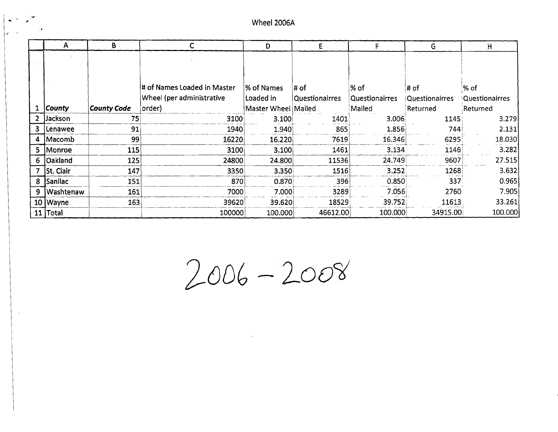$\mathbf{z}$ 

|              | A               | B                  |                             | D                   | E              |                       | G                     | н                     |
|--------------|-----------------|--------------------|-----------------------------|---------------------|----------------|-----------------------|-----------------------|-----------------------|
|              |                 |                    |                             |                     |                |                       |                       |                       |
|              |                 |                    |                             |                     |                |                       |                       |                       |
|              |                 |                    |                             |                     |                |                       |                       |                       |
|              |                 |                    | # of Names Loaded in Master | % of Names          | ∣# of          | $%$ of                | # of                  | % of                  |
|              |                 |                    | Wheel (per administrative   | Loaded in           | Questionairres | <b>Questionairres</b> | <b>Questionairres</b> | <b>Questionairres</b> |
|              | <b>County</b>   | <b>County Code</b> | order)                      | Master Wheel Mailed |                | Mailed                | Returned              | Returned              |
| $\mathbf{2}$ | Jackson         | 75                 | 3100                        | 3.100               | 1401           | 3.006                 | 1145                  | 3.279                 |
| З.           | <b>ILenawee</b> | 91                 | 1940                        | 1.940               | 865            | 1.856                 | 744                   | 2.131                 |
| 4            | Macomb          | 99                 | 16220                       | 16.220              | 7619           | 16.346                | 6295                  | 18.030                |
| 5.           | Monroe          | 115                | 3100                        | 3.100               | 1461           | 3.134                 | 1146                  | 3.282                 |
| 6            | <b>Oakland</b>  | 125                | 24800                       | 24.800              | 11536          | 24.749                | 9607                  | 27.515                |
|              | St. Clair       | 147                | 3350                        | 3.350               | 1516           | 3.252                 | 1268                  | 3.632                 |
| 8            | Sanilac         | 151                | 870                         | 0.870               | 396            | 0.850                 | 337                   | 0.965                 |
| 9            | Washtenaw       | 161                | 7000                        | 7.000               | 3289           | 7.056                 | 2760                  | 7.905                 |
|              | 10 Wayne        | 163                | 39620                       | 39.620              | 18529          | 39.752                | 11613                 | 33.261                |
|              | $11$ Total      |                    | 100000                      | 100.000             | 46612.00       | 100.000               | 34915.00              | 100.000               |

 $2006 - 2008$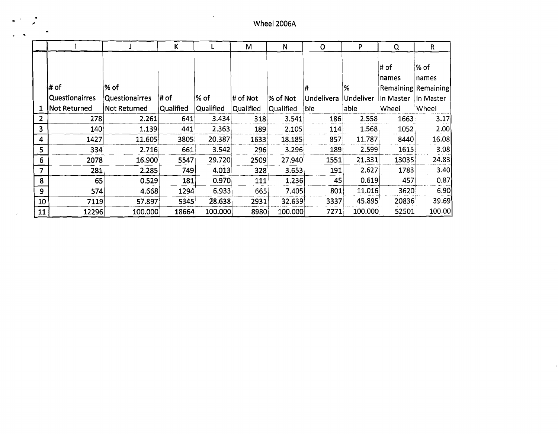Wheel 2006A

|                |                       |                       | К                |           | м         | N         | $\circ$           | P                | Q         | R                   |
|----------------|-----------------------|-----------------------|------------------|-----------|-----------|-----------|-------------------|------------------|-----------|---------------------|
|                |                       |                       |                  |           |           |           |                   |                  | # of      | % of                |
|                |                       |                       |                  |           |           |           |                   |                  | names     | names               |
|                | ¦# of                 | ∣% of                 |                  |           |           |           | #                 | %                |           | Remaining Remaining |
|                | <b>Questionairres</b> | <b>Questionairres</b> | '# of            | % of      | # of Not  | % of Not  | <b>Undelivera</b> | <b>Undeliver</b> | in Master | in Master           |
|                | Not Returned          | <b>Not Returned</b>   | <b>Qualified</b> | Qualified | Qualified | Qualified | ble               | able             | Wheel     | Wheel               |
| $\overline{2}$ | 278                   | 2.261                 | 641              | 3.434     | 318       | 3.541     | 186               | 2.558            | 1663      | 3.17                |
| 3              | 140                   | 1.139                 | 441              | 2.363     | 189       | 2.105     | 114               | 1.568            | 1052      | 2.00                |
| 4              | 1427                  | 11.605                | 3805             | 20.387    | 1633      | 18.185    | 857               | 11.787           | 8440      | 16.08               |
| 5              | 334                   | 2.716                 | 661              | 3.542     | 296       | 3.296     | 189               | 2.599            | 1615      | 3.08                |
| 6              | 2078                  | 16.900                | 5547             | 29.720    | 2509      | 27.940    | 1551              | 21.331           | 13035     | 24.83               |
| 7              | 281                   | 2.285                 | 749              | 4.013     | 328       | 3.653     | 191               | 2.627            | 1783      | 3.40                |
| 8              | 65                    | 0.529                 | 181              | 0.970     | 111       | 1.236     | 45                | 0.619            | 457       | 0.87                |
| 9              | 574                   | 4.668                 | 1294             | 6.933     | 665       | 7.405     | 801               | 11.016           | 3620      | 6.90                |
| 10             | 7119                  | 57.897                | 5345             | 28.638    | 2931      | 32.639    | 3337              | 45.895           | 20836     | 39.69               |
| 11             | 12296                 | 100.000               | 18664            | 100.000   | 8980      | 100.000   | 7271              | 100.000          | 52501     | 100.00              |

. ..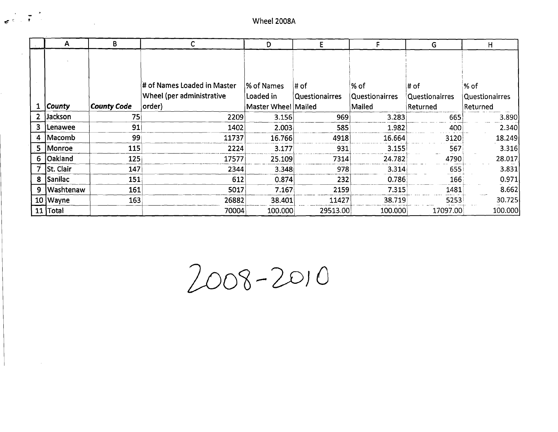$\overline{c}$   $\overline{c}$   $\overline{c}$   $\overline{c}$   $\overline{c}$   $\overline{c}$   $\overline{c}$   $\overline{c}$   $\overline{c}$   $\overline{c}$   $\overline{c}$   $\overline{c}$   $\overline{c}$   $\overline{c}$   $\overline{c}$   $\overline{c}$   $\overline{c}$   $\overline{c}$   $\overline{c}$   $\overline{c}$   $\overline{c}$   $\overline{c}$   $\overline{c}$   $\overline{c}$   $\overline{$ 

|                | A              | В                  | C                                                        | D                       | E                              |                          | G                             | н                               |
|----------------|----------------|--------------------|----------------------------------------------------------|-------------------------|--------------------------------|--------------------------|-------------------------------|---------------------------------|
|                |                |                    |                                                          |                         |                                |                          |                               |                                 |
|                |                |                    | # of Names Loaded in Master<br>Wheel (per administrative | % of Names<br>Loaded in | ∣# of<br><b>Questionairres</b> | $%$ of<br>Questionairres | # of<br><b>Questionairres</b> | $%$ of<br><b>Questionairres</b> |
|                | <b>County</b>  | <b>County Code</b> | order)                                                   | Master Wheel Mailed     |                                | Mailed                   | Returned                      | Returned                        |
|                | 2 Jackson      | 75                 | 2209                                                     | 3.156                   | 969                            | 3.283                    | 665                           | 3.890                           |
| 3 <sup>1</sup> | Lenawee        | 91                 | 1402                                                     | 2.003                   | 585                            | 1.982                    | 400                           | 2.340                           |
| $\mathbf{4}$   | Macomb         | 99                 | 11737                                                    | 16.766                  | 4918                           | 16.664                   | 3120                          | 18.249                          |
| 5.             | Monroe         | 115                | 2224                                                     | 3.177                   | 931                            | 3.155                    | 567                           | 3.316                           |
| 6              | <b>Oakland</b> | 125                | 17577                                                    | 25.109                  | 7314                           | 24.782                   | 4790                          | 28.017                          |
|                | 7 St. Clair    | 147                | 2344                                                     | 3.348                   | 978                            | 3.314                    | 655                           | 3.831                           |
| 8              | Sanilac        | 151                | 612                                                      | 0.874                   | 232                            | 0.786                    | 166                           | 0.971                           |
| 9.             | : Washtenaw    | 161                | 5017                                                     | 7.167                   | 2159                           | 7.315                    | 1481                          | 8.662                           |
|                | $10$ Wayne     | 163                | 26882                                                    | 38.401                  | 11427                          | 38.719                   | 5253                          | 30.725                          |
|                | 11 Total       |                    | 70004                                                    | 100.000                 | 29513.00                       | 100.000                  | 17097.00                      | 100.000                         |

loo1>-'2DJO